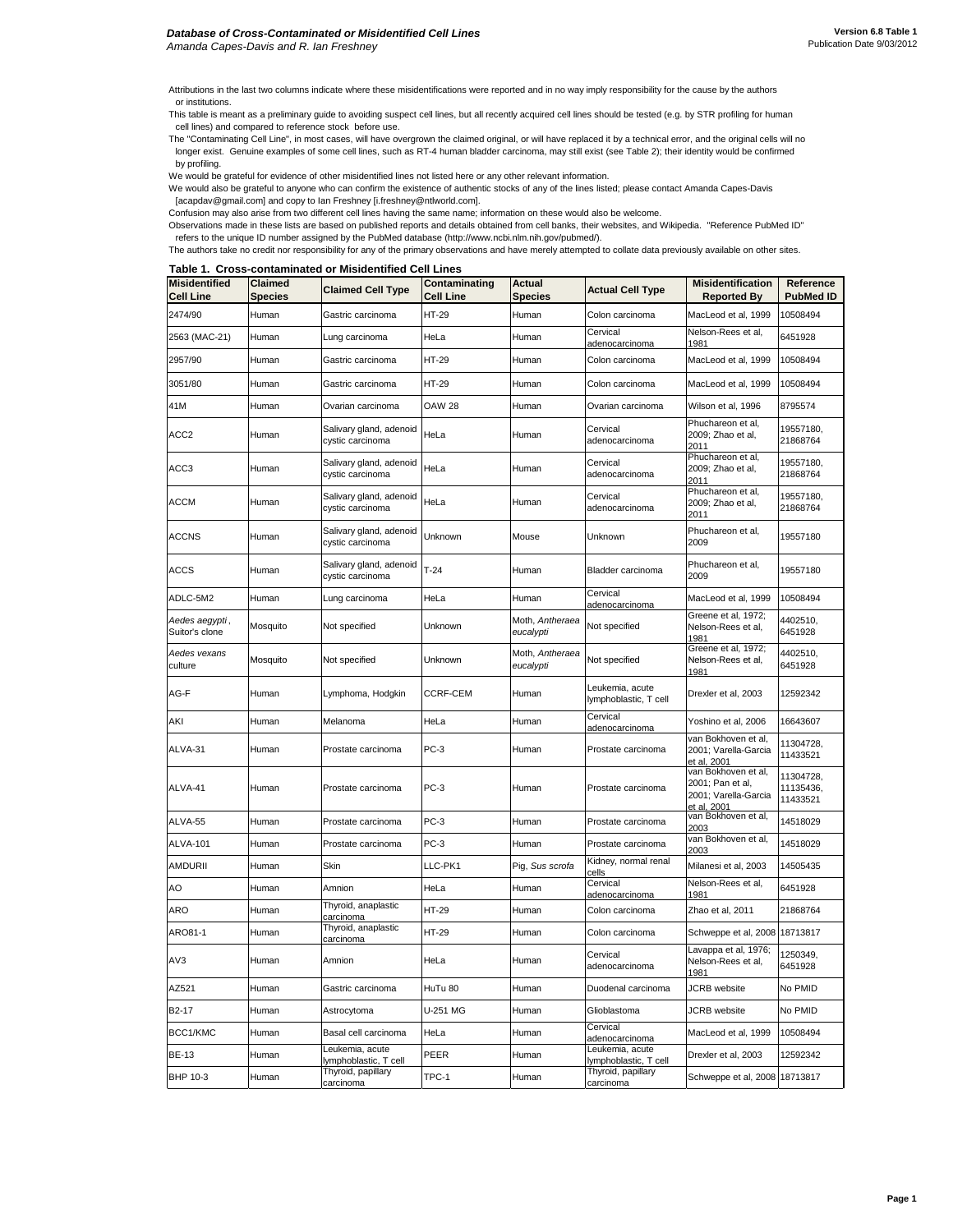Attributions in the last two columns indicate where these misidentifications were reported and in no way imply responsibility for the cause by the authors or institutions.

This table is meant as a preliminary guide to avoiding suspect cell lines, but all recently acquired cell lines should be tested (e.g. by STR profiling for human cell lines) and compared to reference stock before use.

The "Contaminating Cell Line", in most cases, will have overgrown the claimed original, or will have replaced it by a technical error, and the original cells will no longer exist. Genuine examples of some cell lines, such as RT-4 human bladder carcinoma, may still exist (see Table 2); their identity would be confirmed by profiling.

We would be grateful for evidence of other misidentified lines not listed here or any other relevant information.

We would also be grateful to anyone who can confirm the existence of authentic stocks of any of the lines listed; please contact Amanda Capes-Davis [acapdav@gmail.com] and copy to Ian Freshney [i.freshney@ntlworld.com].

Confusion may also arise from two different cell lines having the same name; information on these would also be welcome.

Observations made in these lists are based on published reports and details obtained from cell banks, their websites, and Wikipedia. "Reference PubMed ID"

refers to the unique ID number assigned by the PubMed database (http://www.ncbi.nlm.nih.gov/pubmed/).

The authors take no credit nor responsibility for any of the primary observations and have merely attempted to collate data previously available on other sites.

## **Table 1. Cross-contaminated or Misidentified Cell Lines**

| <b>Misidentified</b><br><b>Cell Line</b> | Claimed<br><b>Species</b> | <b>Claimed Cell Type</b>                    | Contaminating<br><b>Cell Line</b> | Actual<br><b>Species</b>     | <b>Actual Cell Type</b>                  | <b>Misidentification</b><br><b>Reported By</b>                                 | Reference<br><b>PubMed ID</b>      |
|------------------------------------------|---------------------------|---------------------------------------------|-----------------------------------|------------------------------|------------------------------------------|--------------------------------------------------------------------------------|------------------------------------|
| 2474/90                                  | Human                     | Gastric carcinoma                           | HT-29                             | Human                        | Colon carcinoma                          | MacLeod et al, 1999                                                            | 10508494                           |
| 2563 (MAC-21)                            | Human                     | Lung carcinoma                              | HeLa                              | Human                        | Cervical<br>adenocarcinoma               | Nelson-Rees et al,<br>1981                                                     | 6451928                            |
| 2957/90                                  | Human                     | Gastric carcinoma                           | HT-29                             | Human                        | Colon carcinoma                          | MacLeod et al, 1999                                                            | 10508494                           |
| 3051/80                                  | Human                     | Gastric carcinoma                           | HT-29                             | Human                        | Colon carcinoma                          | MacLeod et al, 1999                                                            | 10508494                           |
| 41M                                      | Human                     | Ovarian carcinoma                           | <b>OAW 28</b>                     | Human                        | Ovarian carcinoma                        | Wilson et al, 1996                                                             | 8795574                            |
| ACC <sub>2</sub>                         | Human                     | Salivary gland, adenoid<br>cystic carcinoma | HeLa                              | Human                        | Cervical<br>adenocarcinoma               | Phuchareon et al,<br>2009; Zhao et al,<br>2011                                 | 19557180,<br>21868764              |
| ACC3                                     | Human                     | Salivary gland, adenoid<br>cystic carcinoma | HeLa                              | Human                        | Cervical<br>adenocarcinoma               | Phuchareon et al,<br>2009; Zhao et al,<br>2011                                 | 19557180,<br>21868764              |
| <b>ACCM</b>                              | Human                     | Salivary gland, adenoid<br>cystic carcinoma | HeLa                              | Human                        | Cervical<br>adenocarcinoma               | Phuchareon et al,<br>2009; Zhao et al,<br>2011                                 | 19557180,<br>21868764              |
| <b>ACCNS</b>                             | Human                     | Salivary gland, adenoid<br>cystic carcinoma | Unknown                           | Mouse                        | Unknown                                  | Phuchareon et al,<br>2009                                                      | 19557180                           |
| <b>ACCS</b>                              | Human                     | Salivary gland, adenoid<br>cystic carcinoma | $T-24$                            | Human                        | Bladder carcinoma                        | Phuchareon et al,<br>2009                                                      | 19557180                           |
| ADLC-5M2                                 | Human                     | Lung carcinoma                              | HeLa                              | Human                        | Cervical<br>adenocarcinoma               | MacLeod et al, 1999                                                            | 10508494                           |
| Aedes aegypti,<br>Suitor's clone         | Mosquito                  | Not specified                               | Unknown                           | Moth, Antheraea<br>eucalypti | Not specified                            | Greene et al, 1972;<br>Nelson-Rees et al,<br>1981                              | 4402510,<br>6451928                |
| Aedes vexans<br>culture                  | Mosquito                  | Not specified                               | Unknown                           | Moth, Antheraea<br>eucalypti | Not specified                            | Greene et al, 1972;<br>Nelson-Rees et al,<br>1981                              | 4402510,<br>6451928                |
| AG-F                                     | Human                     | Lymphoma, Hodgkin                           | CCRF-CEM                          | Human                        | Leukemia, acute<br>lymphoblastic, T cell | Drexler et al, 2003                                                            | 12592342                           |
| AKI                                      | Human                     | Melanoma                                    | HeLa                              | Human                        | Cervical<br>adenocarcinoma               | Yoshino et al, 2006                                                            | 16643607                           |
| ALVA-31                                  | Human                     | Prostate carcinoma                          | PC-3                              | Human                        | Prostate carcinoma                       | van Bokhoven et al,<br>2001; Varella-Garcia<br>et al, 2001                     | 11304728,<br>11433521              |
| ALVA-41                                  | Human                     | Prostate carcinoma                          | $PC-3$                            | Human                        | Prostate carcinoma                       | van Bokhoven et al,<br>2001; Pan et al,<br>2001; Varella-Garcia<br>et al, 2001 | 11304728,<br>11135436,<br>11433521 |
| ALVA-55                                  | Human                     | Prostate carcinoma                          | PC-3                              | Human                        | Prostate carcinoma                       | van Bokhoven et al,<br>2003                                                    | 14518029                           |
| <b>ALVA-101</b>                          | Human                     | Prostate carcinoma                          | $PC-3$                            | Human                        | Prostate carcinoma                       | van Bokhoven et al,<br>2003                                                    | 14518029                           |
| AMDURII                                  | Human                     | Skin                                        | LLC-PK1                           | Pig, Sus scrofa              | Kidney, normal renal<br>cells            | Milanesi et al, 2003                                                           | 14505435                           |
| AO                                       | Human                     | Amnion                                      | HeLa                              | Human                        | Cervical<br>adenocarcinoma               | Nelson-Rees et al,<br>1981                                                     | 6451928                            |
| <b>ARO</b>                               | Human                     | Thyroid, anaplastic<br>carcinoma            | HT-29                             | Human                        | Colon carcinoma                          | Zhao et al, 2011                                                               | 21868764                           |
| ARO81-1                                  | Human                     | Thyroid, anaplastic<br>carcinoma            | HT-29                             | Human                        | Colon carcinoma                          | Schweppe et al, 2008                                                           | 18713817                           |
| AV3                                      | Human                     | Amnion                                      | HeLa                              | Human                        | Cervical<br>adenocarcinoma               | Lavappa et al, 1976;<br>Nelson-Rees et al,<br>1981                             | 1250349,<br>6451928                |
| AZ521                                    | Human                     | Gastric carcinoma                           | HuTu 80                           | Human                        | Duodenal carcinoma                       | <b>JCRB</b> website                                                            | No PMID                            |
| B2-17                                    | Human                     | Astrocytoma                                 | U-251 MG                          | Human                        | Glioblastoma                             | JCRB website                                                                   | No PMID                            |
| BCC1/KMC                                 | Human                     | Basal cell carcinoma                        | HeLa                              | Human                        | Cervical<br>adenocarcinoma               | MacLeod et al, 1999                                                            | 10508494                           |
| <b>BE-13</b>                             | Human                     | Leukemia, acute<br>lymphoblastic, T cell    | PEER                              | Human                        | Leukemia, acute<br>lymphoblastic, T cell | Drexler et al, 2003                                                            | 12592342                           |
| BHP 10-3                                 | Human                     | Thyroid, papillary<br>carcinoma             | TPC-1                             | Human                        | Thyroid, papillary<br>carcinoma          | Schweppe et al, 2008 18713817                                                  |                                    |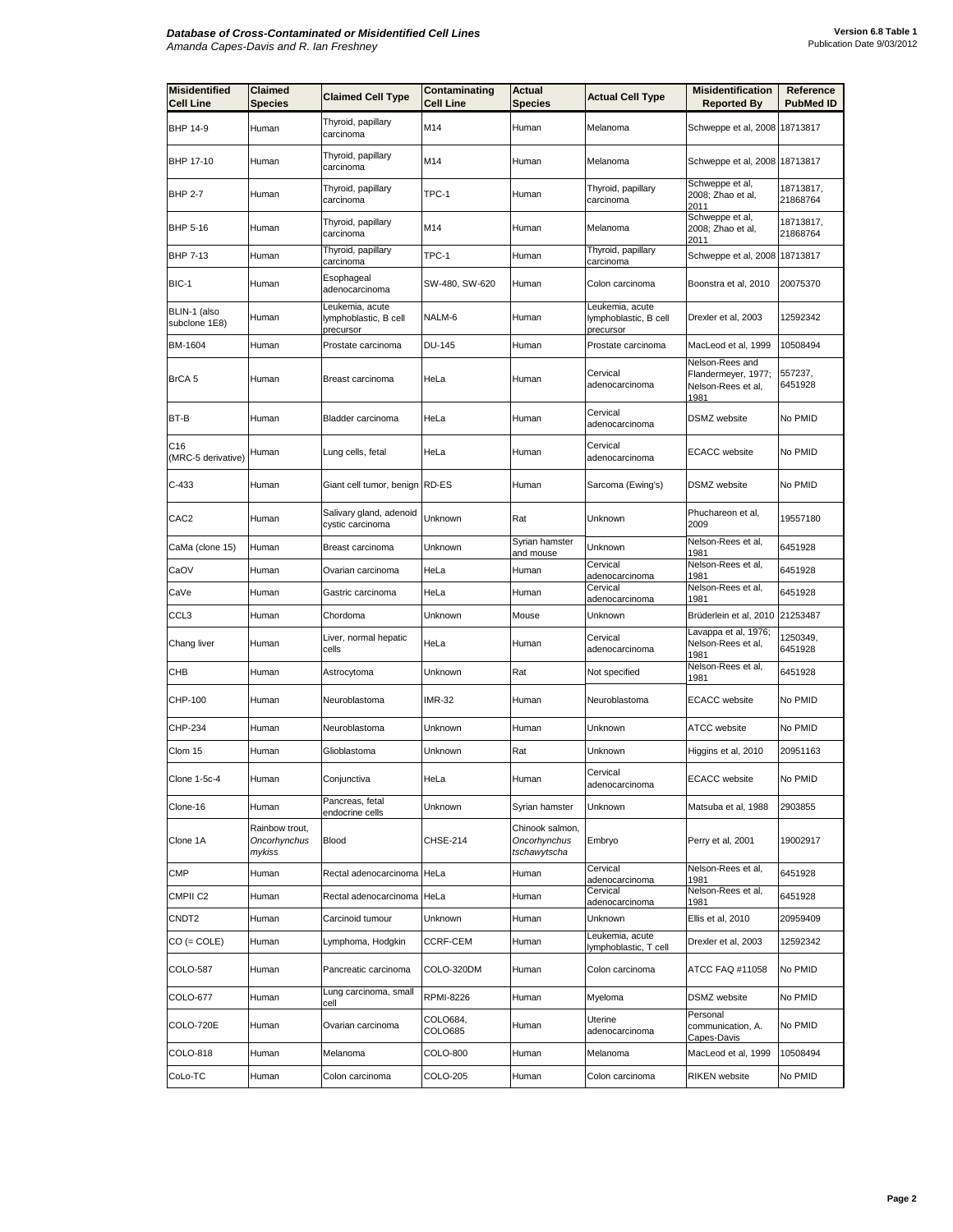| <b>Misidentified</b><br><b>Cell Line</b> | Claimed<br>Species                       | <b>Claimed Cell Type</b>                              | Contaminating<br><b>Cell Line</b> | Actual<br><b>Species</b>                        | <b>Actual Cell Type</b>                               | <b>Misidentification</b><br><b>Reported By</b>                       | Reference<br><b>PubMed ID</b> |
|------------------------------------------|------------------------------------------|-------------------------------------------------------|-----------------------------------|-------------------------------------------------|-------------------------------------------------------|----------------------------------------------------------------------|-------------------------------|
| BHP 14-9                                 | Human                                    | Thyroid, papillary<br>carcinoma                       | M14                               | Human                                           | Melanoma                                              | Schweppe et al, 2008                                                 | 18713817                      |
| BHP 17-10                                | Human                                    | Thyroid, papillary<br>carcinoma                       | M14                               | Human                                           | Melanoma                                              | Schweppe et al, 2008 18713817                                        |                               |
| <b>BHP 2-7</b>                           | Human                                    | Thyroid, papillary<br>carcinoma                       | TPC-1                             | Human                                           | Thyroid, papillary<br>carcinoma                       | Schweppe et al,<br>2008; Zhao et al,<br>2011                         | 18713817,<br>21868764         |
| BHP 5-16                                 | Human                                    | Thyroid, papillary<br>carcinoma                       | M14                               | Human                                           | Melanoma                                              | Schweppe et al,<br>2008; Zhao et al,<br>2011                         | 18713817,<br>21868764         |
| BHP 7-13                                 | Human                                    | Thyroid, papillary<br>carcinoma                       | TPC-1                             | Human                                           | Thyroid, papillary<br>carcinoma                       | Schweppe et al, 2008                                                 | 18713817                      |
| BIC-1                                    | Human                                    | Esophageal<br>adenocarcinoma                          | SW-480, SW-620                    | Human                                           | Colon carcinoma                                       | Boonstra et al, 2010                                                 | 20075370                      |
| BLIN-1 (also<br>subclone 1E8)            | Human                                    | Leukemia, acute<br>lymphoblastic, B cell<br>precursor | NALM-6                            | Human                                           | Leukemia, acute<br>lymphoblastic, B cell<br>precursor | Drexler et al, 2003                                                  | 12592342                      |
| BM-1604                                  | Human                                    | Prostate carcinoma                                    | <b>DU-145</b>                     | Human                                           | Prostate carcinoma                                    | MacLeod et al, 1999                                                  | 10508494                      |
| BrCA 5                                   | Human                                    | Breast carcinoma                                      | HeLa                              | Human                                           | Cervical<br>adenocarcinoma                            | Nelson-Rees and<br>Flandermeyer, 1977;<br>Nelson-Rees et al,<br>1981 | 557237,<br>6451928            |
| BT-B                                     | Human                                    | Bladder carcinoma                                     | HeLa                              | Human                                           | Cervical<br>adenocarcinoma                            | DSMZ website                                                         | No PMID                       |
| C16<br>(MRC-5 derivative)                | Human                                    | Lung cells, fetal                                     | HeLa                              | Human                                           | Cervical<br>adenocarcinoma                            | <b>ECACC</b> website                                                 | No PMID                       |
| $C-433$                                  | Human                                    | Giant cell tumor, benign RD-ES                        |                                   | Human                                           | Sarcoma (Ewing's)                                     | DSMZ website                                                         | No PMID                       |
| CAC <sub>2</sub>                         | Human                                    | Salivary gland, adenoid<br>cystic carcinoma           | Unknown                           | Rat                                             | Unknown                                               | Phuchareon et al,<br>2009                                            | 19557180                      |
| CaMa (clone 15)                          | Human                                    | Breast carcinoma                                      | Unknown                           | Syrian hamster<br>and mouse                     | Unknown                                               | Nelson-Rees et al,<br>1981                                           | 6451928                       |
| CaOV                                     | Human                                    | Ovarian carcinoma                                     | HeLa                              | Human                                           | Cervical<br>adenocarcinoma                            | Nelson-Rees et al,<br>1981                                           | 6451928                       |
| CaVe                                     | Human                                    | Gastric carcinoma                                     | HeLa                              | Human                                           | Cervical<br>adenocarcinoma                            | Nelson-Rees et al,<br>1981                                           | 6451928                       |
| CCL3                                     | Human                                    | Chordoma                                              | Unknown                           | Mouse                                           | Unknown                                               | Brüderlein et al, 2010                                               | 21253487                      |
| Chang liver                              | Human                                    | Liver, normal hepatic<br>cells                        | HeLa                              | Human                                           | Cervical<br>adenocarcinoma                            | Lavappa et al, 1976;<br>Nelson-Rees et al,<br>1981                   | 1250349,<br>6451928           |
| СНВ                                      | Human                                    | Astrocytoma                                           | Unknown                           | Rat                                             | Not specified                                         | Nelson-Rees et al,<br>1981                                           | 6451928                       |
| CHP-100                                  | Human                                    | Neuroblastoma                                         | <b>IMR-32</b>                     | Human                                           | Neuroblastoma                                         | <b>ECACC</b> website                                                 | No PMID                       |
| CHP-234                                  | Human                                    | Neuroblastoma                                         | Unknown                           | Human                                           | Jnknown                                               | ATCC website                                                         | No PMID                       |
| Clom 15                                  | Human                                    | Glioblastoma                                          | Unknown                           | Rat                                             | Unknown                                               | Higgins et al, 2010                                                  | 20951163                      |
| <b>Clone 1-5c-4</b>                      | Human                                    | Conjunctiva                                           | HeLa                              | Human                                           | Cervical<br>adenocarcinoma                            | <b>ECACC</b> website                                                 | No PMID                       |
| Clone-16                                 | Human                                    | Pancreas, fetal<br>endocrine cells                    | Unknown                           | Syrian hamster                                  | Unknown                                               | Matsuba et al, 1988                                                  | 2903855                       |
| Clone 1A                                 | Rainbow trout,<br>Oncorhynchus<br>mykiss | <b>Blood</b>                                          | <b>CHSE-214</b>                   | Chinook salmon,<br>Oncorhynchus<br>tschawytscha | Embryo                                                | Perry et al, 2001                                                    | 19002917                      |
| <b>CMP</b>                               | Human                                    | Rectal adenocarcinoma HeLa                            |                                   | Human                                           | Cervical<br>adenocarcinoma                            | Nelson-Rees et al,<br>1981                                           | 6451928                       |
| CMPII <sub>C2</sub>                      | Human                                    | Rectal adenocarcinoma HeLa                            |                                   | Human                                           | Cervical<br>adenocarcinoma                            | Nelson-Rees et al,<br>1981                                           | 6451928                       |
| CNDT2                                    | Human                                    | Carcinoid tumour                                      | Unknown                           | Human                                           | Unknown                                               | Ellis et al, 2010                                                    | 20959409                      |
| $CO (= COLE)$                            | Human                                    | Lymphoma, Hodgkin                                     | <b>CCRF-CEM</b>                   | Human                                           | Leukemia, acute<br>lymphoblastic, T cell              | Drexler et al, 2003                                                  | 12592342                      |
| COLO-587                                 | Human                                    | Pancreatic carcinoma                                  | COLO-320DM                        | Human                                           | Colon carcinoma                                       | ATCC FAQ #11058                                                      | No PMID                       |
| COLO-677                                 | Human                                    | Lung carcinoma, small<br>cell                         | <b>RPMI-8226</b>                  | Human                                           | Myeloma                                               | DSMZ website                                                         | No PMID                       |
| COLO-720E                                | Human                                    | Ovarian carcinoma                                     | COLO684,<br>COLO685               | Human                                           | Uterine<br>adenocarcinoma                             | Personal<br>communication, A.<br>Capes-Davis                         | No PMID                       |
| COLO-818                                 | Human                                    | Melanoma                                              | COLO-800                          | Human                                           | Melanoma                                              | MacLeod et al, 1999                                                  | 10508494                      |
| CoLo-TC                                  | Human                                    | Colon carcinoma                                       | COLO-205                          | Human                                           | Colon carcinoma                                       | <b>RIKEN</b> website                                                 | No PMID                       |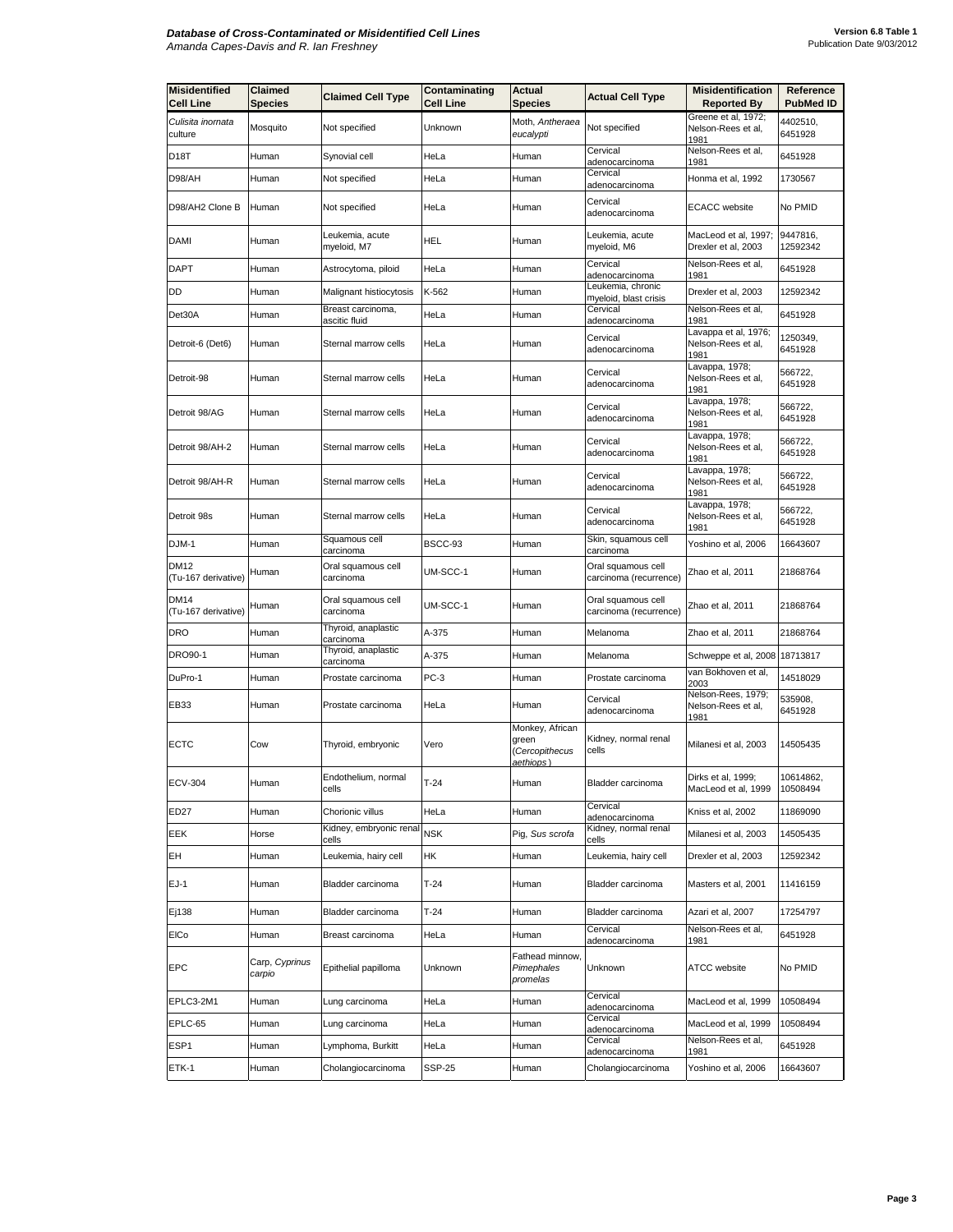| <b>Misidentified</b><br><b>Cell Line</b> | Claimed<br><b>Species</b> | <b>Claimed Cell Type</b>           | Contaminating<br><b>Cell Line</b> | Actual<br><b>Species</b>                                | <b>Actual Cell Type</b>                      | <b>Misidentification</b><br><b>Reported By</b>     | Reference<br><b>PubMed ID</b> |
|------------------------------------------|---------------------------|------------------------------------|-----------------------------------|---------------------------------------------------------|----------------------------------------------|----------------------------------------------------|-------------------------------|
| Culisita inornata                        |                           |                                    |                                   | Moth, Antheraea                                         |                                              | Greene et al, 1972;                                | 4402510,                      |
| culture                                  | Mosquito                  | Not specified                      | Unknown                           | eucalypti                                               | Not specified                                | Nelson-Rees et al,<br>1981                         | 6451928                       |
| D18T                                     | Human                     | Synovial cell                      | HeLa                              | Human                                                   | Cervical<br>adenocarcinoma                   | Nelson-Rees et al,<br>1981                         | 6451928                       |
| D98/AH                                   | Human                     | Not specified                      | HeLa                              | Human                                                   | Cervical<br>adenocarcinoma                   | Honma et al, 1992                                  | 1730567                       |
| D98/AH2 Clone B                          | Human                     | Not specified                      | HeLa                              | Human                                                   | Cervical<br>adenocarcinoma                   | <b>ECACC</b> website                               | No PMID                       |
| <b>DAMI</b>                              | Human                     | Leukemia, acute<br>myeloid, M7     | <b>HEL</b>                        | Human                                                   | Leukemia, acute<br>myeloid, M6               | MacLeod et al, 1997;<br>Drexler et al, 2003        | 9447816,<br>12592342          |
| <b>DAPT</b>                              | Human                     | Astrocytoma, piloid                | HeLa                              | Human                                                   | Cervical<br>adenocarcinoma                   | Nelson-Rees et al,<br>1981                         | 6451928                       |
| DD                                       | Human                     | Malignant histiocytosis            | K-562                             | Human                                                   | Leukemia, chronic<br>myeloid, blast crisis   | Drexler et al, 2003                                | 12592342                      |
| Det30A                                   | Human                     | Breast carcinoma,<br>ascitic fluid | HeLa                              | Human                                                   | Cervical<br>adenocarcinoma                   | Nelson-Rees et al,<br>1981                         | 6451928                       |
| Detroit-6 (Det6)                         | Human                     | Sternal marrow cells               | HeLa                              | Human                                                   | Cervical<br>adenocarcinoma                   | Lavappa et al, 1976;<br>Nelson-Rees et al,<br>1981 | 1250349,<br>6451928           |
| Detroit-98                               | Human                     | Sternal marrow cells               | HeLa                              | Human                                                   | Cervical<br>adenocarcinoma                   | Lavappa, 1978;<br>Nelson-Rees et al,<br>1981       | 566722,<br>6451928            |
| Detroit 98/AG                            | Human                     | Sternal marrow cells               | HeLa                              | Human                                                   | Cervical<br>adenocarcinoma                   | Lavappa, 1978;<br>Nelson-Rees et al,<br>1981       | 566722,<br>6451928            |
| Detroit 98/AH-2                          | Human                     | Sternal marrow cells               | HeLa                              | Human                                                   | Cervical<br>adenocarcinoma                   | Lavappa, 1978;<br>Nelson-Rees et al,<br>1981       | 566722,<br>6451928            |
| Detroit 98/AH-R                          | Human                     | Sternal marrow cells               | HeLa                              | Human                                                   | Cervical<br>adenocarcinoma                   | avappa, 1978;<br>Nelson-Rees et al,<br>1981        | 566722,<br>6451928            |
| Detroit 98s                              | Human                     | Sternal marrow cells               | HeLa                              | Human                                                   | Cervical<br>adenocarcinoma                   | Lavappa, 1978;<br>Nelson-Rees et al,<br>1981       | 566722,<br>6451928            |
| DJM-1                                    | Human                     | Squamous cell<br>carcinoma         | BSCC-93                           | Human                                                   | Skin, squamous cell<br>carcinoma             | Yoshino et al, 2006                                | 16643607                      |
| DM12<br>(Tu-167 derivative)              | Human                     | Oral squamous cell<br>carcinoma    | UM-SCC-1                          | Human                                                   | Oral squamous cell<br>carcinoma (recurrence) | Zhao et al, 2011                                   | 21868764                      |
| DM14<br>(Tu-167 derivative)              | Human                     | Oral squamous cell<br>carcinoma    | UM-SCC-1                          | Human                                                   | Oral squamous cell<br>carcinoma (recurrence) | Zhao et al, 2011                                   | 21868764                      |
| DRO                                      | Human                     | Thyroid, anaplastic<br>carcinoma   | A-375                             | Human                                                   | Melanoma                                     | Zhao et al, 2011                                   | 21868764                      |
| DRO90-1                                  | Human                     | Thyroid, anaplastic<br>carcinoma   | A-375                             | Human                                                   | Melanoma                                     | Schweppe et al, 2008 18713817                      |                               |
| DuPro-1                                  | Human                     | Prostate carcinoma                 | $PC-3$                            | Human                                                   | Prostate carcinoma                           | van Bokhoven et al,<br>2003                        | 14518029                      |
| EB33                                     | Human                     | Prostate carcinoma                 | HeLa                              | Human                                                   | Cervical<br>adenocarcinoma                   | Nelson-Rees, 1979;<br>Nelson-Rees et al,<br>1981   | 535908,<br>6451928            |
| <b>ECTC</b>                              | Cow                       | Thyroid, embryonic                 | Vero                              | Monkey, African<br>green<br>(Cercopithecus<br>aethiops) | Kidney, normal renal<br>cells                | Milanesi et al, 2003                               | 14505435                      |
| <b>ECV-304</b>                           | Human                     | Endothelium, normal<br>cells       | $1 - 24$                          | Human                                                   | Bladder carcinoma                            | Dirks et al, 1999;<br>MacLeod et al, 1999          | 10614862,<br>10508494         |
| ED27                                     | Human                     | Chorionic villus                   | HeLa                              | Human                                                   | Cervical<br>adenocarcinoma                   | Kniss et al, 2002                                  | 11869090                      |
| EEK                                      | Horse                     | Kidney, embryonic renal<br>cells   | <b>NSK</b>                        | Pig, Sus scrofa                                         | Kidney, normal renal<br>cells                | Milanesi et al, 2003                               | 14505435                      |
| EH                                       | Human                     | Leukemia, hairy cell               | HК                                | Human                                                   | Leukemia, hairy cell                         | Drexler et al, 2003                                | 12592342                      |
| $EJ-1$                                   | Human                     | Bladder carcinoma                  | $T-24$                            | Human                                                   | Bladder carcinoma                            | Masters et al, 2001                                | 11416159                      |
| Ej138                                    | Human                     | Bladder carcinoma                  | $T-24$                            | Human                                                   | Bladder carcinoma                            | Azari et al, 2007                                  | 17254797                      |
| EICo                                     | Human                     | Breast carcinoma                   | HeLa                              | Human                                                   | Cervical<br>adenocarcinoma                   | Nelson-Rees et al,<br>1981                         | 6451928                       |
| <b>EPC</b>                               | Carp, Cyprinus<br>carpio  | Epithelial papilloma               | Unknown                           | Fathead minnow,<br>Pimephales<br>promelas               | Unknown                                      | <b>ATCC</b> website                                | No PMID                       |
| EPLC3-2M1                                | Human                     | Lung carcinoma                     | HeLa                              | Human                                                   | Cervical<br>adenocarcinoma                   | MacLeod et al, 1999                                | 10508494                      |
| EPLC-65                                  | Human                     | Lung carcinoma                     | HeLa                              | Human                                                   | Cervical<br>adenocarcinoma                   | MacLeod et al, 1999                                | 10508494                      |
| ESP1                                     | Human                     | Lymphoma, Burkitt                  | HeLa                              | Human                                                   | Cervical<br>adenocarcinoma                   | Nelson-Rees et al,<br>1981                         | 6451928                       |
| ETK-1                                    | Human                     | Cholangiocarcinoma                 | <b>SSP-25</b>                     | Human                                                   | Cholangiocarcinoma                           | Yoshino et al, 2006                                | 16643607                      |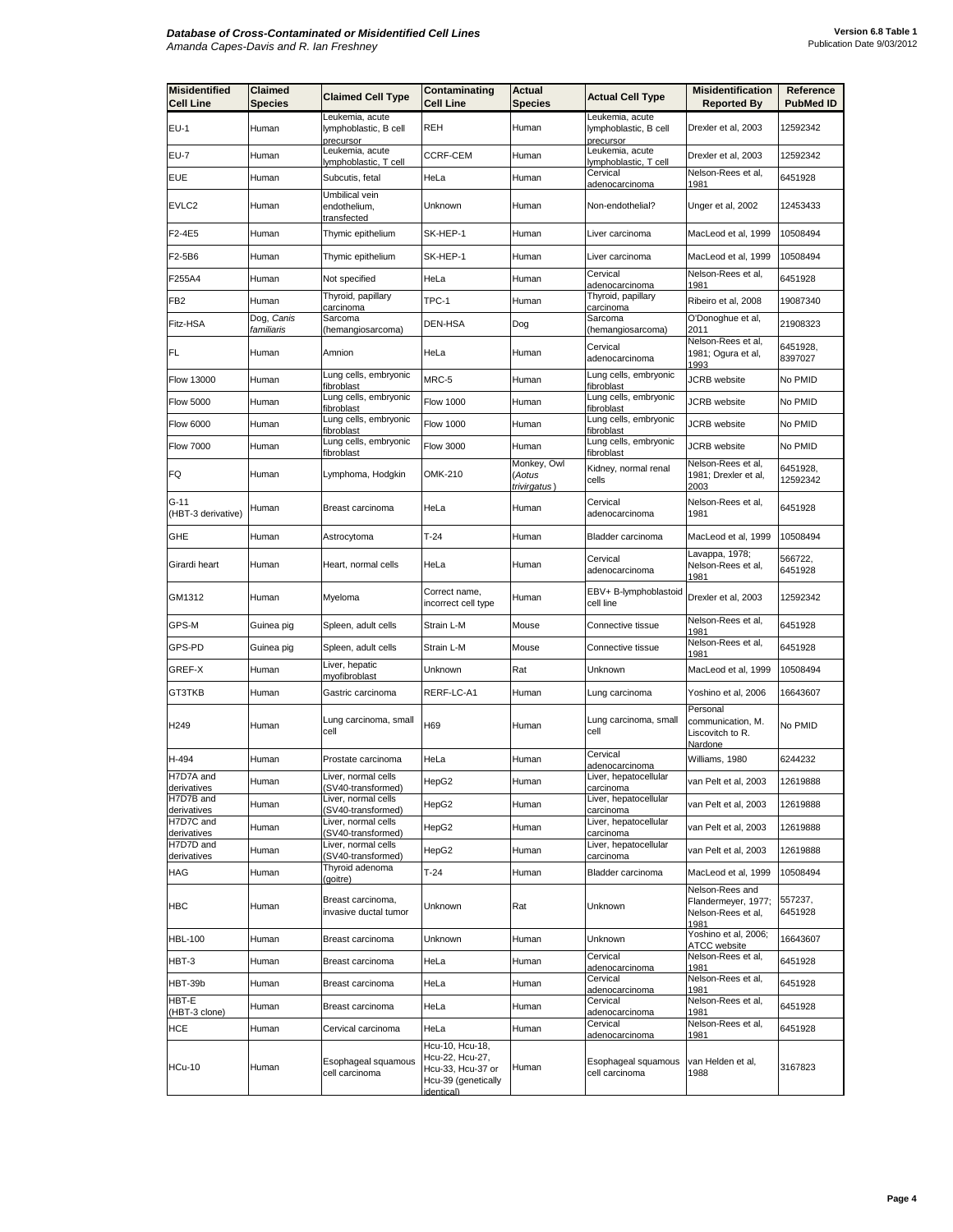| <b>Misidentified</b>       | Claimed                  | <b>Claimed Cell Type</b>                              | Contaminating                                                                                | <b>Actual</b>                         | <b>Actual Cell Type</b>                               | <b>Misidentification</b>                                             | Reference            |
|----------------------------|--------------------------|-------------------------------------------------------|----------------------------------------------------------------------------------------------|---------------------------------------|-------------------------------------------------------|----------------------------------------------------------------------|----------------------|
| <b>Cell Line</b>           | Species                  |                                                       | <b>Cell Line</b>                                                                             | <b>Species</b>                        |                                                       | <b>Reported By</b>                                                   | <b>PubMed ID</b>     |
| $EU-1$                     | Human                    | Leukemia, acute<br>lymphoblastic, B cell<br>precursor | <b>REH</b>                                                                                   | Human                                 | Leukemia, acute<br>lymphoblastic, B cell<br>precursor | Drexler et al, 2003                                                  | 12592342             |
| EU-7                       | Human                    | Leukemia, acute<br>lymphoblastic, T cell              | CCRF-CEM                                                                                     | Human                                 | Leukemia, acute<br>lymphoblastic, T cell              | Drexler et al, 2003                                                  | 12592342             |
| EUE                        | Human                    | Subcutis, fetal                                       | HeLa                                                                                         | Human                                 | Cervical<br>adenocarcinoma                            | Nelson-Rees et al,<br>1981                                           | 6451928              |
| EVLC2                      | Human                    | Umbilical vein<br>endothelium,<br><u>transfected</u>  | Unknown                                                                                      | Human                                 | Non-endothelial?                                      | Unger et al, 2002                                                    | 12453433             |
| F2-4E5                     | Human                    | Thymic epithelium                                     | SK-HEP-1                                                                                     | Human                                 | Liver carcinoma                                       | MacLeod et al, 1999                                                  | 10508494             |
| F2-5B6                     | Human                    | Thymic epithelium                                     | SK-HEP-1                                                                                     | Human                                 | Liver carcinoma                                       | MacLeod et al, 1999                                                  | 10508494             |
| F255A4                     | Human                    | Not specified                                         | HeLa                                                                                         | Human                                 | Cervical<br>adenocarcinoma                            | Nelson-Rees et al,<br>1981                                           | 6451928              |
| FB2                        | Human                    | Thyroid, papillary<br>carcinoma                       | TPC-1                                                                                        | Human                                 | Thyroid, papillary<br>carcinoma                       | Ribeiro et al, 2008                                                  | 19087340             |
| Fitz-HSA                   | Dog, Canis<br>familiaris | Sarcoma<br>(hemangiosarcoma)                          | DEN-HSA                                                                                      | Dog                                   | Sarcoma<br>hemangiosarcoma)                           | O'Donoghue et al,<br>2011                                            | 21908323             |
| <b>FL</b>                  | Human                    | Amnion                                                | HeLa                                                                                         | Human                                 | Cervical<br>adenocarcinoma                            | Nelson-Rees et al,<br>1981; Ogura et al,<br>1993                     | 6451928,<br>8397027  |
| Flow 13000                 | Human                    | Lung cells, embryonic<br>fibroblast                   | MRC-5                                                                                        | Human                                 | Lung cells, embryonic<br>fibroblast                   | <b>JCRB</b> website                                                  | No PMID              |
| <b>Flow 5000</b>           | Human                    | Lung cells, embryonic<br>fibroblast                   | <b>Flow 1000</b>                                                                             | Human                                 | Lung cells, embryonic<br>fibroblast                   | <b>JCRB</b> website                                                  | No PMID              |
| Flow 6000                  | Human                    | Lung cells, embryonic<br>fibroblast                   | <b>Flow 1000</b>                                                                             | Human                                 | Lung cells, embryonic<br>fibroblast                   | <b>JCRB</b> website                                                  | No PMID              |
| <b>Flow 7000</b>           | Human                    | Lung cells, embryonic<br>fibroblast                   | <b>Flow 3000</b>                                                                             | Human                                 | Lung cells, embryonic<br>fibroblast                   | <b>JCRB</b> website                                                  | No PMID              |
| FQ                         | Human                    | Lymphoma, Hodgkin                                     | OMK-210                                                                                      | Monkey, Owl<br>(Aotus<br>trivirgatus) | Kidney, normal renal<br>cells                         | Nelson-Rees et al,<br>1981; Drexler et al,<br>2003                   | 6451928,<br>12592342 |
| G-11<br>(HBT-3 derivative) | Human                    | Breast carcinoma                                      | HeLa                                                                                         | Human                                 | Cervical<br>adenocarcinoma                            | Nelson-Rees et al,<br>1981                                           | 6451928              |
| GHE                        | Human                    | Astrocytoma                                           | $T-24$                                                                                       | Human                                 | Bladder carcinoma                                     | MacLeod et al, 1999                                                  | 10508494             |
| Girardi heart              | Human                    | Heart, normal cells                                   | HeLa                                                                                         | Human                                 | Cervical<br>adenocarcinoma                            | Lavappa, 1978;<br>Nelson-Rees et al,<br>1981                         | 566722,<br>6451928   |
| GM1312                     | Human                    | Myeloma                                               | Correct name,<br>incorrect cell type                                                         | Human                                 | EBV+ B-lymphoblastoid<br>cell line                    | Drexler et al, 2003                                                  | 12592342             |
| GPS-M                      | Guinea pig               | Spleen, adult cells                                   | Strain L-M                                                                                   | Mouse                                 | Connective tissue                                     | Nelson-Rees et al,<br>1981                                           | 6451928              |
| GPS-PD                     | Guinea pig               | Spleen, adult cells                                   | Strain L-M                                                                                   | Mouse                                 | Connective tissue                                     | Nelson-Rees et al,<br>1981                                           | 6451928              |
| GREF-X                     | Human                    | Liver, hepatic<br>myofibroblast                       | Unknown                                                                                      | Rat                                   | Unknown                                               | MacLeod et al, 1999                                                  | 10508494             |
| GT3TKB                     | Human                    | Gastric carcinoma                                     | RERF-LC-A1                                                                                   | Human                                 | Lung carcinoma                                        | Yoshino et al, 2006                                                  | 16643607             |
| H <sub>249</sub>           | Human                    | Lung carcinoma, small<br>cell                         | H69                                                                                          | Human                                 | Lung carcinoma, small<br>cell                         | Personal<br>communication, M.<br>Liscovitch to R.<br>Nardone         | No PMID              |
| H-494                      | Human                    | Prostate carcinoma                                    | HeLa                                                                                         | Human                                 | Cervical<br>adenocarcinoma                            | Williams, 1980                                                       | 6244232              |
| H7D7A and<br>derivatives   | Human                    | Liver, normal cells<br>(SV40-transformed)             | HepG2                                                                                        | Human                                 | Liver, hepatocellular<br>carcinoma                    | van Pelt et al, 2003                                                 | 12619888             |
| H7D7B and<br>derivatives   | Human                    | Liver, normal cells<br>(SV40-transformed)             | HepG2                                                                                        | Human                                 | Liver, hepatocellular<br>carcinoma                    | van Pelt et al, 2003                                                 | 12619888             |
| H7D7C and<br>derivatives   | Human                    | Liver, normal cells<br>(SV40-transformed)             | HepG2                                                                                        | Human                                 | Liver, hepatocellular<br>carcinoma                    | van Pelt et al, 2003                                                 | 12619888             |
| H7D7D and<br>derivatives   | Human                    | Liver, normal cells<br>(SV40-transformed)             | HepG2                                                                                        | Human                                 | Liver, hepatocellular<br>carcinoma                    | van Pelt et al, 2003                                                 | 12619888             |
| HAG                        | Human                    | Thyroid adenoma<br>(goitre)                           | $T-24$                                                                                       | Human                                 | Bladder carcinoma                                     | MacLeod et al, 1999                                                  | 10508494             |
| <b>HBC</b>                 | Human                    | Breast carcinoma,<br>invasive ductal tumor            | Unknown                                                                                      | Rat                                   | Unknown                                               | Nelson-Rees and<br>Flandermeyer, 1977;<br>Nelson-Rees et al,<br>1981 | 557237,<br>6451928   |
| <b>HBL-100</b>             | Human                    | Breast carcinoma                                      | Unknown                                                                                      | Human                                 | Unknown                                               | Yoshino et al, 2006;<br>ATCC website                                 | 16643607             |
| HBT-3                      | Human                    | Breast carcinoma                                      | HeLa                                                                                         | Human                                 | Cervical<br>adenocarcinoma                            | Nelson-Rees et al,<br>1981                                           | 6451928              |
| HBT-39b                    | Human                    | Breast carcinoma                                      | HeLa                                                                                         | Human                                 | Cervical<br>adenocarcinoma                            | Nelson-Rees et al,<br>1981                                           | 6451928              |
| HBT-E<br>(HBT-3 clone)     | Human                    | Breast carcinoma                                      | HeLa                                                                                         | Human                                 | Cervical<br>adenocarcinoma                            | Nelson-Rees et al,<br>1981                                           | 6451928              |
| HCE                        | Human                    | Cervical carcinoma                                    | HeLa                                                                                         | Human                                 | Cervical<br>adenocarcinoma                            | Nelson-Rees et al,<br>1981                                           | 6451928              |
| <b>HCu-10</b>              | Human                    | Esophageal squamous<br>cell carcinoma                 | Hcu-10, Hcu-18,<br>Hcu-22, Hcu-27,<br>Hcu-33, Hcu-37 or<br>Hcu-39 (genetically<br>identical) | Human                                 | Esophageal squamous<br>cell carcinoma                 | van Helden et al,<br>1988                                            | 3167823              |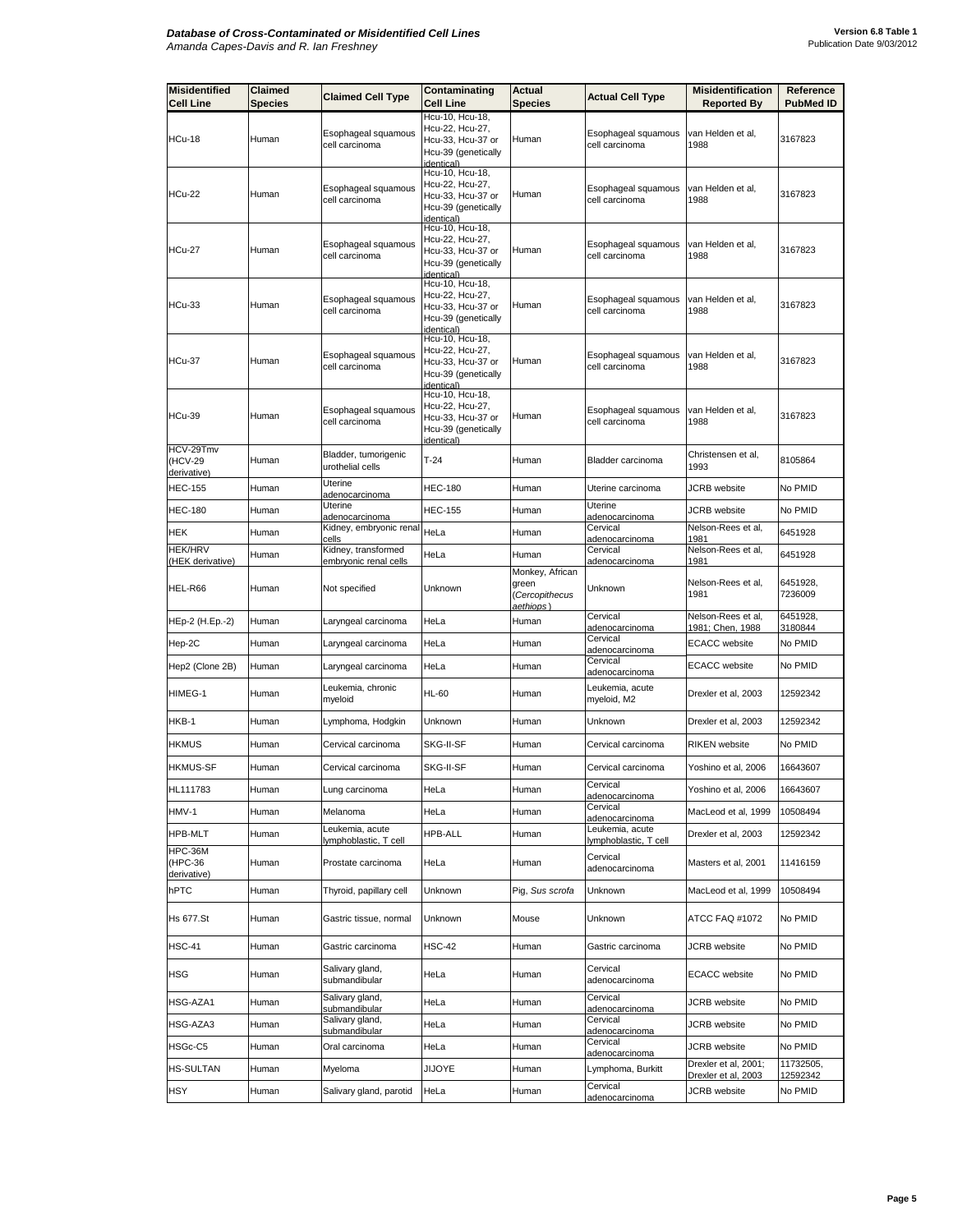| <b>Misidentified</b><br><b>Cell Line</b> | Claimed<br>Species | <b>Claimed Cell Type</b>                    | Contaminating<br><b>Cell Line</b>                                                            | Actual<br>Species                          | <b>Actual Cell Type</b>                             | <b>Misidentification</b><br><b>Reported By</b> | Reference<br><b>PubMed ID</b> |
|------------------------------------------|--------------------|---------------------------------------------|----------------------------------------------------------------------------------------------|--------------------------------------------|-----------------------------------------------------|------------------------------------------------|-------------------------------|
|                                          |                    |                                             | Hcu-10, Hcu-18,                                                                              |                                            |                                                     |                                                |                               |
| HCu-18                                   | Human              | Esophageal squamous<br>cell carcinoma       | Hcu-22, Hcu-27,<br>Hcu-33, Hcu-37 or<br>Hcu-39 (genetically<br>dentical)                     | Human                                      | Esophageal squamous<br>cell carcinoma               | van Helden et al,<br>1988                      | 3167823                       |
| <b>HCu-22</b>                            | Human              | Esophageal squamous<br>cell carcinoma       | Hcu-10, Hcu-18,<br>Hcu-22, Hcu-27,<br>Hcu-33, Hcu-37 or<br>Hcu-39 (genetically<br>identical) | Human                                      | Esophageal squamous<br>cell carcinoma               | van Helden et al.<br>1988                      | 3167823                       |
| <b>HCu-27</b>                            | Human              | Esophageal squamous<br>cell carcinoma       | Hcu-10, Hcu-18,<br>Hcu-22, Hcu-27,<br>Hcu-33, Hcu-37 or<br>Hcu-39 (genetically<br>identical) | Human                                      | Esophageal squamous<br>cell carcinoma               | van Helden et al,<br>1988                      | 3167823                       |
| HCu-33                                   | Human              | Esophageal squamous<br>cell carcinoma       | Hcu-10, Hcu-18,<br>Hcu-22, Hcu-27,<br>Hcu-33, Hcu-37 or<br>Hcu-39 (genetically<br>identical) | Human                                      | Esophageal squamous<br>cell carcinoma               | van Helden et al,<br>1988                      | 3167823                       |
| HCu-37                                   | Human              | Esophageal squamous<br>cell carcinoma       | Hcu-10, Hcu-18,<br>Hcu-22, Hcu-27,<br>Hcu-33, Hcu-37 or<br>Hcu-39 (genetically<br>identical) | Human                                      | Esophageal squamous<br>cell carcinoma               | van Helden et al,<br>1988                      | 3167823                       |
| HCu-39                                   | Human              | Esophageal squamous<br>cell carcinoma       | Hcu-10, Hcu-18,<br>Hcu-22, Hcu-27,<br>Hcu-33. Hcu-37 or<br>Hcu-39 (genetically<br>identical) | Human                                      | Esophageal squamous<br>cell carcinoma               | van Helden et al,<br>1988                      | 3167823                       |
| HCV-29Tmv<br>(HCV-29<br>derivative)      | Human              | Bladder, tumorigenic<br>urothelial cells    | $T-24$                                                                                       | Human                                      | Bladder carcinoma                                   | Christensen et al,<br>1993                     | 8105864                       |
| <b>HEC-155</b>                           | Human              | Uterine<br>adenocarcinoma                   | <b>HEC-180</b>                                                                               | Human                                      | Uterine carcinoma                                   | <b>JCRB</b> website                            | No PMID                       |
| <b>HEC-180</b>                           | Human              | Uterine<br>adenocarcinoma                   | <b>HEC-155</b>                                                                               | Human                                      | Uterine<br>adenocarcinoma                           | JCRB website                                   | No PMID                       |
| HEK                                      | Human              | Kidney, embryonic renal<br>cells            | HeLa                                                                                         | Human                                      | Cervical<br>adenocarcinoma                          | Nelson-Rees et al,<br>1981                     | 6451928                       |
| <b>HEK/HRV</b>                           | Human              | Kidney, transformed                         | HeLa                                                                                         | Human                                      | Cervical                                            | Nelson-Rees et al,                             | 6451928                       |
| (HEK derivative)<br>HEL-R66              | Human              | embryonic renal cells<br>Not specified      | Unknown                                                                                      | Monkey, African<br>green<br>(Cercopithecus | adenocarcinoma<br>Unknown                           | 1981<br>Nelson-Rees et al,<br>1981             | 6451928,<br>7236009           |
| HEp-2 (H.Ep.-2)                          | Human              | Laryngeal carcinoma                         | HeLa                                                                                         | aethiops)<br>Human                         | Cervical                                            | Nelson-Rees et al,                             | 6451928,                      |
| Hep-2C                                   | Human              | Laryngeal carcinoma                         | HeLa                                                                                         | Human                                      | adenocarcinoma<br>Cervical                          | 1981; Chen, 1988<br><b>ECACC</b> website       | 3180844<br>No PMID            |
| Hep2 (Clone 2B)                          | Human              | Laryngeal carcinoma                         | HeLa                                                                                         | Human                                      | adenocarcinoma<br>Cervical<br>adenocarcinoma        | <b>ECACC</b> website                           | No PMID                       |
| HIMEG-1                                  | Human              | Leukemia, chronic<br>myeloid                | <b>HL-60</b>                                                                                 | Human                                      | Leukemia, acute<br>myeloid, M2                      | Drexler et al, 2003                            | 12592342                      |
| HKB-1                                    | Human              | Lymphoma, Hodgkin                           | Unknown                                                                                      | Human                                      | Unknown                                             | Drexler et al, 2003                            | 12592342                      |
| <b>HKMUS</b>                             | Human              | Cervical carcinoma                          | SKG-II-SF                                                                                    | Human                                      | Cervical carcinoma                                  | <b>RIKEN</b> website                           | No PMID                       |
| <b>HKMUS-SF</b>                          | Human              | Cervical carcinoma                          | SKG-II-SF                                                                                    | Human                                      | Cervical carcinoma                                  | Yoshino et al, 2006                            | 16643607                      |
| HL111783                                 | Human              | Lung carcinoma                              | HeLa                                                                                         | Human                                      | Cervical<br>adenocarcinoma                          | Yoshino et al, 2006                            | 16643607                      |
| HMV-1                                    | Human              | Melanoma                                    | HeLa                                                                                         | Human                                      | Cervical                                            | MacLeod et al, 1999                            | 10508494                      |
| HPB-MLT                                  | Human              | Leukemia, acute                             | <b>HPB-ALL</b>                                                                               | Human                                      | adenocarcinoma<br>Leukemia, acute                   | Drexler et al, 2003                            | 12592342                      |
| HPC-36M<br>(HPC-36<br>derivative)        | Human              | lymphoblastic, T cell<br>Prostate carcinoma | HeLa                                                                                         | Human                                      | lymphoblastic, T cell<br>Cervical<br>adenocarcinoma | Masters et al, 2001                            | 11416159                      |
| hPTC                                     | Human              | Thyroid, papillary cell                     | Unknown                                                                                      | Pig, Sus scrofa                            | Unknown                                             | MacLeod et al, 1999                            | 10508494                      |
| <b>Hs 677.St</b>                         | Human              | Gastric tissue, normal                      | Unknown                                                                                      | Mouse                                      | Unknown                                             | ATCC FAQ #1072                                 | No PMID                       |
| <b>HSC-41</b>                            | Human              | Gastric carcinoma                           | <b>HSC-42</b>                                                                                | Human                                      | Gastric carcinoma                                   | JCRB website                                   | No PMID                       |
| HSG                                      | Human              | Salivary gland,<br>submandibular            | HeLa                                                                                         | Human                                      | Cervical<br>adenocarcinoma                          | <b>ECACC</b> website                           | No PMID                       |
| HSG-AZA1                                 | Human              | Salivary gland,<br>submandibular            | HeLa                                                                                         | Human                                      | Cervical<br>adenocarcinoma                          | JCRB website                                   | No PMID                       |
| HSG-AZA3                                 | Human              | Salivary gland,<br>submandibular            | HeLa                                                                                         | Human                                      | Cervical<br>adenocarcinoma                          | JCRB website                                   | No PMID                       |
| HSGc-C5                                  | Human              | Oral carcinoma                              | HeLa                                                                                         | Human                                      | Cervical                                            | JCRB website                                   | No PMID                       |
| <b>HS-SULTAN</b>                         | Human              | Myeloma                                     | <b>JIJOYE</b>                                                                                | Human                                      | adenocarcinoma<br>Lymphoma, Burkitt                 | Drexler et al, 2001;                           | 11732505,                     |
| HSY                                      | Human              | Salivary gland, parotid                     | HeLa                                                                                         | Human                                      | Cervical<br>adenocarcinoma                          | Drexler et al, 2003<br>JCRB website            | 12592342<br>No PMID           |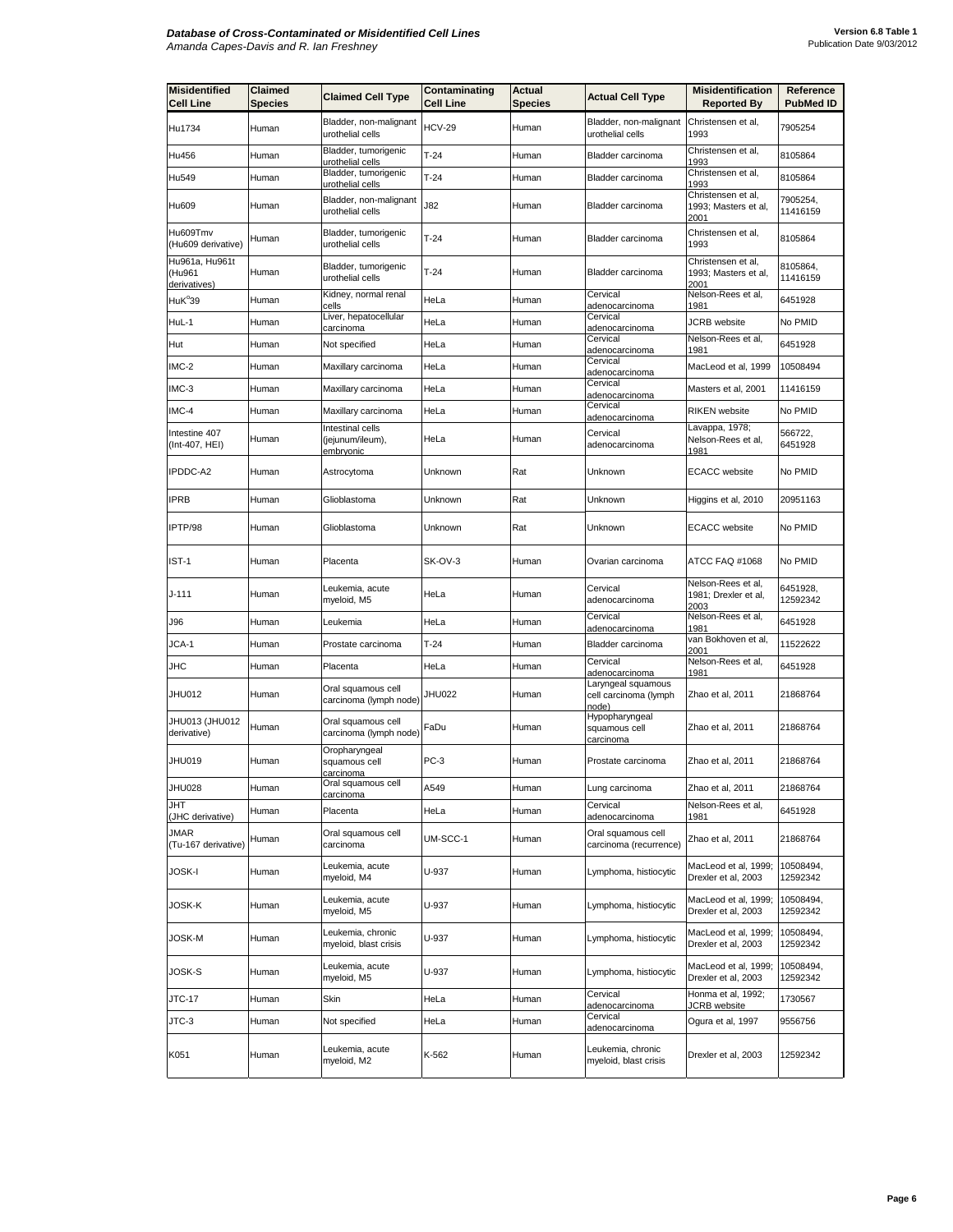| <b>Misidentified</b><br><b>Cell Line</b> | Claimed<br>Species | <b>Claimed Cell Type</b>                                 | Contaminating<br><b>Cell Line</b> | <b>Actual</b><br><b>Species</b> | <b>Actual Cell Type</b>                              | <b>Misidentification</b><br><b>Reported By</b>     | Reference<br><b>PubMed ID</b> |
|------------------------------------------|--------------------|----------------------------------------------------------|-----------------------------------|---------------------------------|------------------------------------------------------|----------------------------------------------------|-------------------------------|
| Hu1734                                   | Human              | Bladder, non-malignant<br>urothelial cells               | <b>HCV-29</b>                     | Human                           | Bladder, non-malignant<br>urothelial cells           | Christensen et al,<br>1993                         | 7905254                       |
| Hu456                                    | Human              | Bladder, tumorigenic<br>urothelial cells                 | $T-24$                            | Human                           | Bladder carcinoma                                    | Christensen et al,<br>1993                         | 8105864                       |
| Hu549                                    | Human              | Bladder, tumorigenic<br>urothelial cells                 | $T-24$                            | Human                           | Bladder carcinoma                                    | Christensen et al,<br>1993                         | 8105864                       |
| Hu609                                    | Human              | Bladder, non-malignant<br>urothelial cells               | J82                               | Human                           | Bladder carcinoma                                    | Christensen et al,<br>1993; Masters et al,<br>2001 | 7905254,<br>11416159          |
| Hu609Tmv<br>(Hu609 derivative)           | Human              | Bladder, tumorigenic<br>urothelial cells                 | $T-24$                            | Human                           | Bladder carcinoma                                    | Christensen et al,<br>1993                         | 8105864                       |
| Hu961a, Hu961t<br>(Hu961<br>derivatives) | Human              | Bladder, tumorigenic<br>urothelial cells                 | $T-24$                            | Human                           | Bladder carcinoma                                    | Christensen et al,<br>1993; Masters et al,<br>2001 | 8105864,<br>11416159          |
| HuK <sup>°</sup> 39                      | Human              | Kidney, normal renal<br>cells                            | HeLa                              | Human                           | Cervical<br>adenocarcinoma                           | Nelson-Rees et al,<br>1981                         | 6451928                       |
| HuL-1                                    | Human              | Liver, hepatocellular<br>carcinoma                       | HeLa                              | Human                           | Cervical<br>adenocarcinoma                           | <b>JCRB</b> website                                | No PMID                       |
| Hut                                      | Human              | Not specified                                            | HeLa                              | Human                           | Cervical<br>adenocarcinoma                           | Nelson-Rees et al,<br>1981                         | 6451928                       |
| IMC-2                                    | Human              | Maxillary carcinoma                                      | HeLa                              | Human                           | Cervical<br>adenocarcinoma                           | MacLeod et al, 1999                                | 10508494                      |
| IMC-3                                    | Human              | Maxillary carcinoma                                      | HeLa                              | Human                           | Cervical<br>adenocarcinoma                           | Masters et al, 2001                                | 11416159                      |
| IMC-4                                    | Human              | Maxillary carcinoma                                      | HeLa                              | Human                           | Cervical<br>adenocarcinoma                           | <b>RIKEN</b> website                               | No PMID                       |
| Intestine 407<br>(Int-407, HEI)          | Human              | Intestinal cells<br>(jejunum/ileum),<br><u>embryonic</u> | HeLa                              | Human                           | Cervical<br>adenocarcinoma                           | Lavappa, 1978;<br>Nelson-Rees et al,<br>1981       | 566722,<br>6451928            |
| IPDDC-A2                                 | Human              | Astrocytoma                                              | Unknown                           | Rat                             | Unknown                                              | <b>ECACC</b> website                               | No PMID                       |
| <b>IPRB</b>                              | Human              | Glioblastoma                                             | Unknown                           | Rat                             | Unknown                                              | Higgins et al, 2010                                | 20951163                      |
| IPTP/98                                  | Human              | Glioblastoma                                             | Unknown                           | Rat                             | Unknown                                              | <b>ECACC</b> website                               | No PMID                       |
| IST-1                                    | Human              | Placenta                                                 | SK-OV-3                           | Human                           | Ovarian carcinoma                                    | ATCC FAQ #1068                                     | No PMID                       |
| J-111                                    | Human              | Leukemia, acute<br>myeloid, M5                           | HeLa                              | Human                           | Cervical<br>adenocarcinoma                           | Nelson-Rees et al,<br>1981; Drexler et al,<br>2003 | 6451928,<br>12592342          |
| J96                                      | Human              | Leukemia                                                 | HeLa                              | Human                           | Cervical<br><u>adenocarcinoma</u>                    | Nelson-Rees et al,<br>1981                         | 6451928                       |
| JCA-1                                    | Human              | Prostate carcinoma                                       | $T-24$                            | Human                           | Bladder carcinoma                                    | van Bokhoven et al,<br>2001                        | 11522622                      |
| JHC                                      | Human              | Placenta                                                 | HeLa                              | Human                           | Cervical<br>adenocarcinoma                           | Nelson-Rees et al,<br>1981                         | 6451928                       |
| JHU012                                   | Human              | Oral squamous cell<br>carcinoma (lymph node)             | <b>JHU022</b>                     | Human                           | Laryngeal squamous<br>cell carcinoma (lymph<br>าode) | Zhao et al, 2011                                   | 21868764                      |
| JHU013 (JHU012<br>derivative)            | Human              | Oral squamous cell<br>carcinoma (lymph node)             | FaDu                              | Human                           | Hypopharyngeal<br>squamous cell<br>carcinoma         | Zhao et al, 2011                                   | 21868764                      |
| JHU019                                   | Human              | Oropharyngeal<br>squamous cell<br>carcinoma              | $PC-3$                            | Human                           | Prostate carcinoma                                   | Zhao et al, 2011                                   | 21868764                      |
| <b>JHU028</b>                            | Human              | Oral squamous cell<br>carcinoma                          | A549                              | Human                           | Lung carcinoma                                       | Zhao et al, 2011                                   | 21868764                      |
| JHT<br>(JHC derivative)                  | Human              | Placenta                                                 | HeLa                              | Human                           | Cervical<br>adenocarcinoma                           | Nelson-Rees et al,<br>1981                         | 6451928                       |
| JMAR<br>(Tu-167 derivative)              | Human              | Oral squamous cell<br>carcinoma                          | UM-SCC-1                          | Human                           | Oral squamous cell<br>carcinoma (recurrence)         | Zhao et al, 2011                                   | 21868764                      |
| JOSK-I                                   | Human              | Leukemia, acute<br>myeloid, M4                           | U-937                             | Human                           | Lymphoma, histiocytic                                | MacLeod et al, 1999;<br>Drexler et al, 2003        | 10508494,<br>12592342         |
| JOSK-K                                   | Human              | Leukemia, acute<br>myeloid, M5                           | U-937                             | Human                           | Lymphoma, histiocytic                                | MacLeod et al, 1999;<br>Drexler et al, 2003        | 10508494,<br>12592342         |
| JOSK-M                                   | Human              | Leukemia, chronic<br>myeloid, blast crisis               | U-937                             | Human                           | Lymphoma, histiocytic                                | MacLeod et al, 1999;<br>Drexler et al, 2003        | 10508494,<br>12592342         |
| JOSK-S                                   | Human              | Leukemia, acute<br>myeloid, M5                           | U-937                             | Human                           | Lymphoma, histiocytic                                | MacLeod et al, 1999;<br>Drexler et al, 2003        | 10508494,<br>12592342         |
| JTC-17                                   | Human              | Skin                                                     | HeLa                              | Human                           | Cervical<br>adenocarcinoma                           | Honma et al, 1992;<br>JCRB website                 | 1730567                       |
| JTC-3                                    | Human              | Not specified                                            | HeLa                              | Human                           | Cervical<br>adenocarcinoma                           | Ogura et al, 1997                                  | 9556756                       |
| K051                                     | Human              | Leukemia, acute<br>myeloid, M2                           | K-562                             | Human                           | Leukemia, chronic<br>myeloid, blast crisis           | Drexler et al, 2003                                | 12592342                      |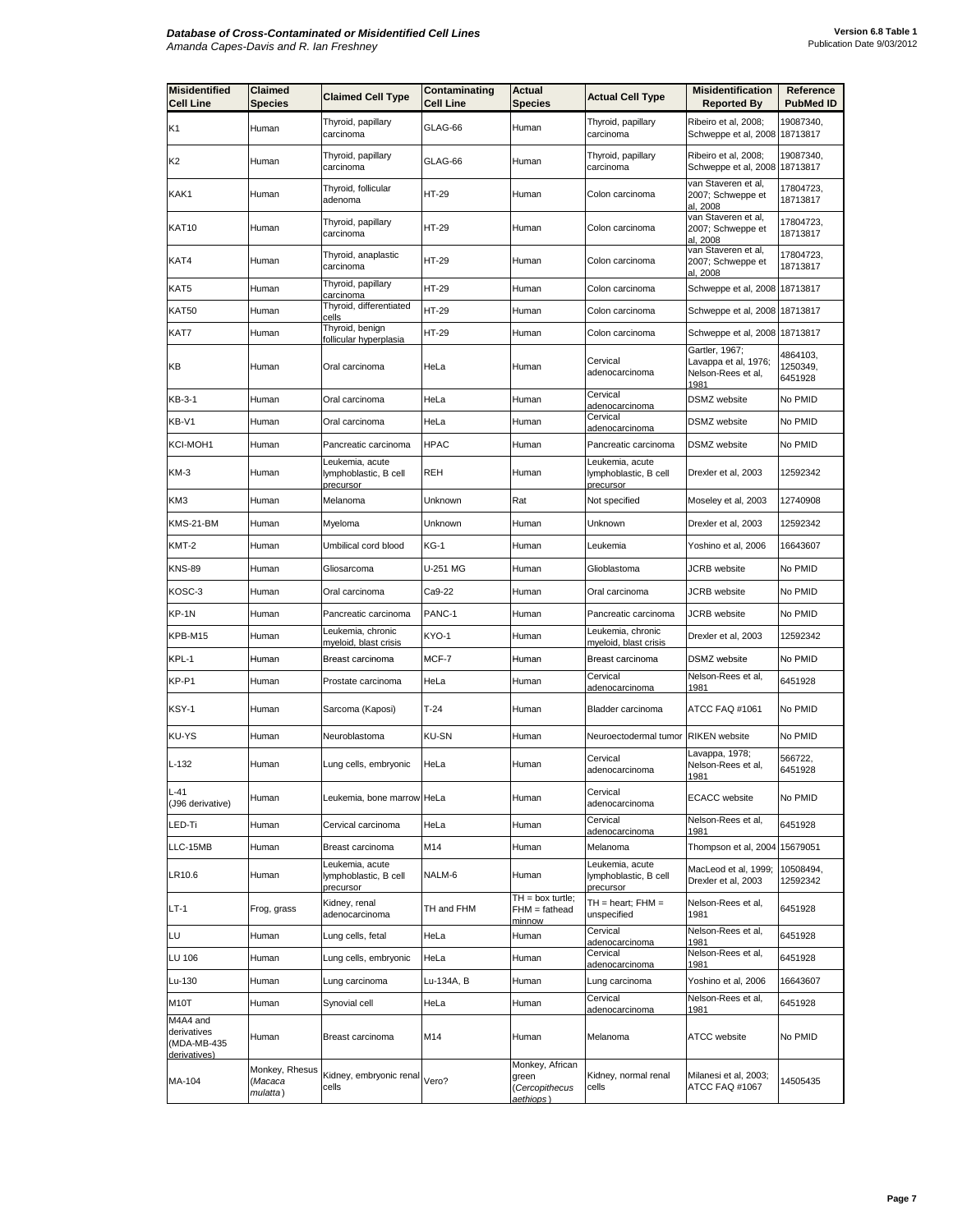| <b>Misidentified</b><br><b>Cell Line</b>               | <b>Claimed</b><br><b>Species</b>      | <b>Claimed Cell Type</b>                              | Contaminating<br><b>Cell Line</b> | <b>Actual</b><br><b>Species</b>                         | <b>Actual Cell Type</b>                               | <b>Misidentification</b><br><b>Reported By</b>                       | Reference<br><b>PubMed ID</b>   |
|--------------------------------------------------------|---------------------------------------|-------------------------------------------------------|-----------------------------------|---------------------------------------------------------|-------------------------------------------------------|----------------------------------------------------------------------|---------------------------------|
| K1                                                     | Human                                 | Thyroid, papillary<br>carcinoma                       | GLAG-66                           | Human                                                   | Thyroid, papillary<br>carcinoma                       | Ribeiro et al, 2008;<br>Schweppe et al, 2008                         | 19087340,<br>18713817           |
| K2                                                     | Human                                 | Thyroid, papillary<br>carcinoma                       | GLAG-66                           | Human                                                   | Thyroid, papillary<br>carcinoma                       | Ribeiro et al, 2008;<br>Schweppe et al, 2008                         | 19087340,<br>18713817           |
| KAK1                                                   | Human                                 | Thyroid, follicular<br>adenoma                        | HT-29                             | Human                                                   | Colon carcinoma                                       | van Staveren et al,<br>2007; Schweppe et<br>al, 2008                 | 17804723,<br>18713817           |
| KAT10                                                  | Human                                 | Thyroid, papillary<br>carcinoma                       | HT-29                             | Human                                                   | Colon carcinoma                                       | van Staveren et al,<br>2007; Schweppe et<br>al, 2008                 | 17804723,<br>18713817           |
| KAT4                                                   | Human                                 | Thyroid, anaplastic<br>carcinoma                      | HT-29                             | Human                                                   | Colon carcinoma                                       | van Staveren et al.<br>2007; Schweppe et<br><u>al, 2008</u>          | 17804723,<br>18713817           |
| KAT5                                                   | Human                                 | Thyroid, papillary<br>carcinoma                       | HT-29                             | Human                                                   | Colon carcinoma                                       | Schweppe et al, 2008                                                 | 18713817                        |
| KAT50                                                  | Human                                 | Thyroid, differentiated<br>cells                      | HT-29                             | Human                                                   | Colon carcinoma                                       | Schweppe et al, 2008                                                 | 18713817                        |
| KAT7                                                   | Human                                 | Thyroid, benign<br>follicular hyperplasia             | HT-29                             | Human                                                   | Colon carcinoma                                       | Schweppe et al, 2008                                                 | 18713817                        |
| KВ                                                     | Human                                 | Oral carcinoma                                        | HeLa                              | Human                                                   | Cervical<br>adenocarcinoma                            | Gartler, 1967;<br>Lavappa et al, 1976;<br>Nelson-Rees et al,<br>1981 | 4864103,<br>1250349,<br>6451928 |
| KB-3-1                                                 | Human                                 | Oral carcinoma                                        | HeLa                              | Human                                                   | Cervical<br>adenocarcinoma                            | <b>DSMZ</b> website                                                  | No PMID                         |
| KB-V1                                                  | Human                                 | Oral carcinoma                                        | HeLa                              | Human                                                   | Cervical<br><u>adenocarcinoma</u>                     | <b>DSMZ</b> website                                                  | No PMID                         |
| KCI-MOH1                                               | Human                                 | Pancreatic carcinoma                                  | <b>HPAC</b>                       | Human                                                   | Pancreatic carcinoma                                  | <b>DSMZ</b> website                                                  | No PMID                         |
| KM-3                                                   | Human                                 | Leukemia, acute<br>lymphoblastic, B cell<br>precursor | <b>REH</b>                        | Human                                                   | Leukemia, acute<br>lymphoblastic, B cell<br>precursor | Drexler et al, 2003                                                  | 12592342                        |
| KM3                                                    | Human                                 | Melanoma                                              | Unknown                           | Rat                                                     | Not specified                                         | Moseley et al, 2003                                                  | 12740908                        |
| KMS-21-BM                                              | Human                                 | Myeloma                                               | Unknown                           | Human                                                   | Unknown                                               | Drexler et al, 2003                                                  | 12592342                        |
| KMT-2                                                  | Human                                 | Umbilical cord blood                                  | <b>KG-1</b>                       | Human                                                   | Leukemia                                              | Yoshino et al, 2006                                                  | 16643607                        |
| <b>KNS-89</b>                                          | Human                                 | Gliosarcoma                                           | U-251 MG                          | Human                                                   | Glioblastoma                                          | JCRB website                                                         | No PMID                         |
| KOSC-3                                                 | Human                                 | Oral carcinoma                                        | Ca9-22                            | Human                                                   | Oral carcinoma                                        | <b>JCRB</b> website                                                  | No PMID                         |
| KP-1N                                                  | Human                                 | Pancreatic carcinoma                                  | PANC-1                            | Human                                                   | Pancreatic carcinoma                                  | JCRB website                                                         | No PMID                         |
| KPB-M15                                                | Human                                 | Leukemia, chronic<br>myeloid, blast crisis            | KYO-1                             | Human                                                   | Leukemia, chronic<br>myeloid, blast crisis            | Drexler et al, 2003                                                  | 12592342                        |
| KPL-1                                                  | Human                                 | Breast carcinoma                                      | MCF-7                             | Human                                                   | Breast carcinoma                                      | DSMZ website                                                         | No PMID                         |
| KP-P1                                                  | Human                                 | Prostate carcinoma                                    | HeLa                              | Human                                                   | Cervical<br>adenocarcinoma                            | Nelson-Rees et al,<br>1981                                           | 6451928                         |
| KSY-1                                                  | Human                                 | Sarcoma (Kaposi)                                      | $T-24$                            | Human                                                   | Bladder carcinoma                                     | ATCC FAQ #1061                                                       | No PMID                         |
| KU-YS                                                  | Human                                 | Neuroblastoma                                         | <b>KU-SN</b>                      | Human                                                   | Neuroectodermal tumor                                 | <b>RIKEN</b> website                                                 | No PMID                         |
| $L-132$                                                | Human                                 | Lung cells, embryonic                                 | HeLa                              | Human                                                   | Cervical<br>adenocarcinoma                            | Lavappa, 1978;<br>Nelson-Rees et al,<br>1981                         | 566722,<br>6451928              |
| L-41<br>(J96 derivative)                               | Human                                 | Leukemia, bone marrow HeLa                            |                                   | Human                                                   | Cervical<br>adenocarcinoma                            | <b>ECACC</b> website                                                 | No PMID                         |
| LED-Ti                                                 | Human                                 | Cervical carcinoma                                    | HeLa                              | Human                                                   | Cervical<br>adenocarcinoma                            | Nelson-Rees et al,<br>1981                                           | 6451928                         |
| LLC-15MB                                               | Human                                 | Breast carcinoma                                      | M14                               | Human                                                   | Melanoma                                              | Thompson et al, 2004                                                 | 15679051                        |
| LR10.6                                                 | Human                                 | Leukemia, acute<br>lymphoblastic, B cell<br>precursor | NALM-6                            | Human                                                   | Leukemia, acute<br>lymphoblastic, B cell<br>precursor | MacLeod et al, 1999;<br>Drexler et al, 2003                          | 10508494,<br>12592342           |
| LT-1                                                   | Frog, grass                           | Kidney, renal<br>adenocarcinoma                       | TH and FHM                        | $TH = box$ turtle;<br>$FHM = fathead$<br>minnow         | $TH = heart$ ; $FHM =$<br>unspecified                 | Nelson-Rees et al,<br>1981                                           | 6451928                         |
| LU                                                     | Human                                 | Lung cells, fetal                                     | HeLa                              | Human                                                   | Cervical<br>adenocarcinoma                            | Nelson-Rees et al,<br>1981                                           | 6451928                         |
| LU 106                                                 | Human                                 | Lung cells, embryonic                                 | HeLa                              | Human                                                   | Cervical<br>adenocarcinoma                            | Nelson-Rees et al,<br>1981                                           | 6451928                         |
| Lu-130                                                 | Human                                 | Lung carcinoma                                        | Lu-134A, B                        | Human                                                   | Lung carcinoma                                        | Yoshino et al, 2006                                                  | 16643607                        |
| M10T                                                   | Human                                 | Synovial cell                                         | HeLa                              | Human                                                   | Cervical<br>adenocarcinoma                            | Nelson-Rees et al,<br>1981                                           | 6451928                         |
| M4A4 and<br>derivatives<br>(MDA-MB-435<br>derivatives) | Human                                 | Breast carcinoma                                      | M14                               | Human                                                   | Melanoma                                              | <b>ATCC</b> website                                                  | No PMID                         |
| MA-104                                                 | Monkey, Rhesus<br>(Macaca<br>mulatta) | Kidney, embryonic renal<br>cells                      | Vero?                             | Monkey, African<br>green<br>(Cercopithecus<br>aethiops) | Kidney, normal renal<br>cells                         | Milanesi et al, 2003;<br>ATCC FAQ #1067                              | 14505435                        |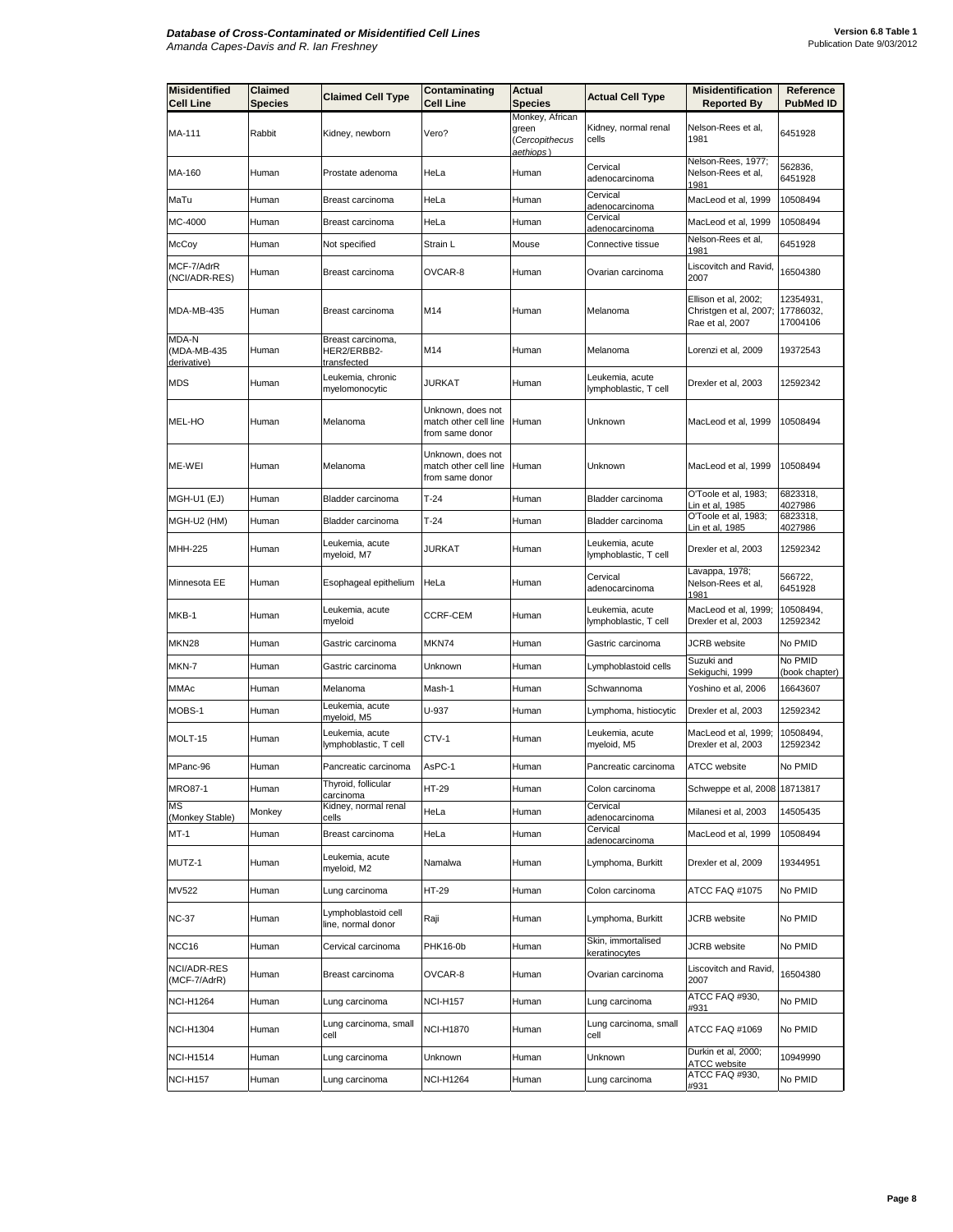| <b>Misidentified</b><br><b>Cell Line</b> | Claimed<br>Species | <b>Claimed Cell Type</b>                               | Contaminating<br>Cell Line                                    | Actual<br>Species                                       | <b>Actual Cell Type</b>                  | <b>Misidentification</b><br><b>Reported By</b>                    | Reference<br>PubMed ID             |
|------------------------------------------|--------------------|--------------------------------------------------------|---------------------------------------------------------------|---------------------------------------------------------|------------------------------------------|-------------------------------------------------------------------|------------------------------------|
| MA-111                                   | Rabbit             | Kidney, newborn                                        | Vero?                                                         | Monkey, African<br>green<br>(Cercopithecus<br>aethiops) | Kidney, normal renal<br>cells            | Nelson-Rees et al,<br>1981                                        | 6451928                            |
| MA-160                                   | Human              | Prostate adenoma                                       | HeLa                                                          | Human                                                   | Cervical<br>adenocarcinoma               | Nelson-Rees, 1977;<br>Nelson-Rees et al,<br><u> 1981</u>          | 562836,<br>6451928                 |
| MaTu                                     | Human              | Breast carcinoma                                       | HeLa                                                          | Human                                                   | Cervical<br>adenocarcinoma               | MacLeod et al, 1999                                               | 10508494                           |
| MC-4000                                  | Human              | Breast carcinoma                                       | HeLa                                                          | Human                                                   | Cervical<br>adenocarcinoma               | MacLeod et al, 1999                                               | 10508494                           |
| McCoy                                    | Human              | Not specified                                          | Strain L                                                      | Mouse                                                   | Connective tissue                        | Nelson-Rees et al,<br>1981                                        | 6451928                            |
| MCF-7/AdrR<br>(NCI/ADR-RES)              | Human              | Breast carcinoma                                       | OVCAR-8                                                       | Human                                                   | Ovarian carcinoma                        | Liscovitch and Ravid,<br>2007                                     | 16504380                           |
| MDA-MB-435                               | Human              | Breast carcinoma                                       | M14                                                           | Human                                                   | Melanoma                                 | Ellison et al, 2002;<br>Christgen et al, 2007;<br>Rae et al, 2007 | 12354931,<br>17786032,<br>17004106 |
| MDA-N<br>(MDA-MB-435<br>derivative)      | Human              | Breast carcinoma,<br>HER2/ERBB2-<br><u>transfected</u> | M14                                                           | Human                                                   | Melanoma                                 | Lorenzi et al, 2009                                               | 19372543                           |
| MDS                                      | Human              | Leukemia, chronic<br>myelomonocytic                    | JURKAT                                                        | Human                                                   | Leukemia, acute<br>lymphoblastic, T cell | Drexler et al, 2003                                               | 12592342                           |
| MEL-HO                                   | Human              | Melanoma                                               | Unknown, does not<br>match other cell line<br>from same donor | Human                                                   | Unknown                                  | MacLeod et al, 1999                                               | 10508494                           |
| ME-WEI                                   | Human              | Melanoma                                               | Unknown, does not<br>match other cell line<br>from same donor | Human                                                   | Unknown                                  | MacLeod et al, 1999                                               | 10508494                           |
| MGH-U1 (EJ)                              | Human              | Bladder carcinoma                                      | $T-24$                                                        | Human                                                   | Bladder carcinoma                        | O'Toole et al, 1983;<br>in et al. 1985                            | 6823318.<br>4027986                |
| MGH-U2 (HM)                              | Human              | Bladder carcinoma                                      | $T-24$                                                        | Human                                                   | Bladder carcinoma                        | O'Toole et al, 1983;<br>Lin et al, 1985                           | 6823318,<br>4027986                |
| MHH-225                                  | Human              | Leukemia, acute<br>myeloid, M7                         | JURKAT                                                        | Human                                                   | Leukemia, acute<br>lymphoblastic, T cell | Drexler et al, 2003                                               | 12592342                           |
| Minnesota EE                             | Human              | Esophageal epithelium                                  | HeLa                                                          | Human                                                   | Cervical<br>adenocarcinoma               | avappa, 1978;<br>Nelson-Rees et al,<br>1981                       | 566722,<br>6451928                 |
| MKB-1                                    | Human              | Leukemia, acute<br>myeloid                             | CCRF-CEM                                                      | Human                                                   | Leukemia, acute<br>lymphoblastic, T cell | MacLeod et al, 1999;<br>Drexler et al, 2003                       | 10508494,<br>12592342              |
| MKN28                                    | Human              | Gastric carcinoma                                      | MKN74                                                         | Human                                                   | Gastric carcinoma                        | <b>JCRB</b> website                                               | No PMID                            |
| MKN-7                                    | Human              | Gastric carcinoma                                      | Unknown                                                       | Human                                                   | Lymphoblastoid cells                     | Suzuki and<br>Sekiguchi, 1999                                     | No PMID<br>(book chapter)          |
| MMAc                                     | Human              | Melanoma                                               | Mash-1                                                        | Human                                                   | Schwannoma                               | Yoshino et al, 2006                                               | 16643607                           |
| MOBS-1                                   | Human              | Leukemia, acute<br>myeloid, M5                         | U-937                                                         | Human                                                   | Lymphoma, histiocytic                    | Drexler et al, 2003                                               | 12592342                           |
| MOLT-15                                  | Human              | Leukemia, acute<br>lymphoblastic, T cell               | CTV-1                                                         | Human                                                   | Leukemia, acute<br>myeloid, M5           | MacLeod et al, 1999;<br>Drexler et al, 2003                       | 10508494,<br>12592342              |
| MPanc-96                                 | Human              | Pancreatic carcinoma                                   | AsPC-1                                                        | Human                                                   | Pancreatic carcinoma                     | ATCC website                                                      | No PMID                            |
| <b>MRO87-1</b>                           | Human              | Thyroid, follicular<br>carcinoma                       | HT-29                                                         | Human                                                   | Colon carcinoma                          | Schweppe et al, 2008 18713817                                     |                                    |
| <b>MS</b><br>(Monkey Stable)             | Monkey             | Kidney, normal renal<br>cells                          | HeLa                                                          | Human                                                   | Cervical<br>adenocarcinoma               | Milanesi et al. 2003                                              | 14505435                           |
| MT-1                                     | Human              | Breast carcinoma                                       | HeLa                                                          | Human                                                   | Cervical<br>adenocarcinoma               | MacLeod et al, 1999                                               | 10508494                           |
| MUTZ-1                                   | Human              | Leukemia, acute<br>myeloid, M2                         | Namalwa                                                       | Human                                                   | Lymphoma, Burkitt                        | Drexler et al, 2009                                               | 19344951                           |
| MV522                                    | Human              | Lung carcinoma                                         | HT-29                                                         | Human                                                   | Colon carcinoma                          | ATCC FAQ #1075                                                    | No PMID                            |
| <b>NC-37</b>                             | Human              | Lymphoblastoid cell<br>line, normal donor              | Raji                                                          | Human                                                   | Lymphoma, Burkitt                        | JCRB website                                                      | No PMID                            |
| NCC16                                    | Human              | Cervical carcinoma                                     | PHK16-0b                                                      | Human                                                   | Skin, immortalised<br>keratinocytes      | JCRB website                                                      | No PMID                            |
| NCI/ADR-RES<br>(MCF-7/AdrR)              | Human              | Breast carcinoma                                       | OVCAR-8                                                       | Human                                                   | Ovarian carcinoma                        | Liscovitch and Ravid,<br>2007                                     | 16504380                           |
| <b>NCI-H1264</b>                         | Human              | Lung carcinoma                                         | <b>NCI-H157</b>                                               | Human                                                   | Lung carcinoma                           | ATCC FAQ #930,<br>#931                                            | No PMID                            |
| <b>NCI-H1304</b>                         | Human              | Lung carcinoma, small<br>cell                          | <b>NCI-H1870</b>                                              | Human                                                   | Lung carcinoma, small<br>cell            | ATCC FAQ #1069                                                    | No PMID                            |
| <b>NCI-H1514</b>                         | Human              | Lung carcinoma                                         | Unknown                                                       | Human                                                   | Unknown                                  | Durkin et al, 2000;<br>ATCC website                               | 10949990                           |
| <b>NCI-H157</b>                          | Human              | Lung carcinoma                                         | <b>NCI-H1264</b>                                              | Human                                                   | Lung carcinoma                           | ATCC FAQ #930,<br>#931                                            | No PMID                            |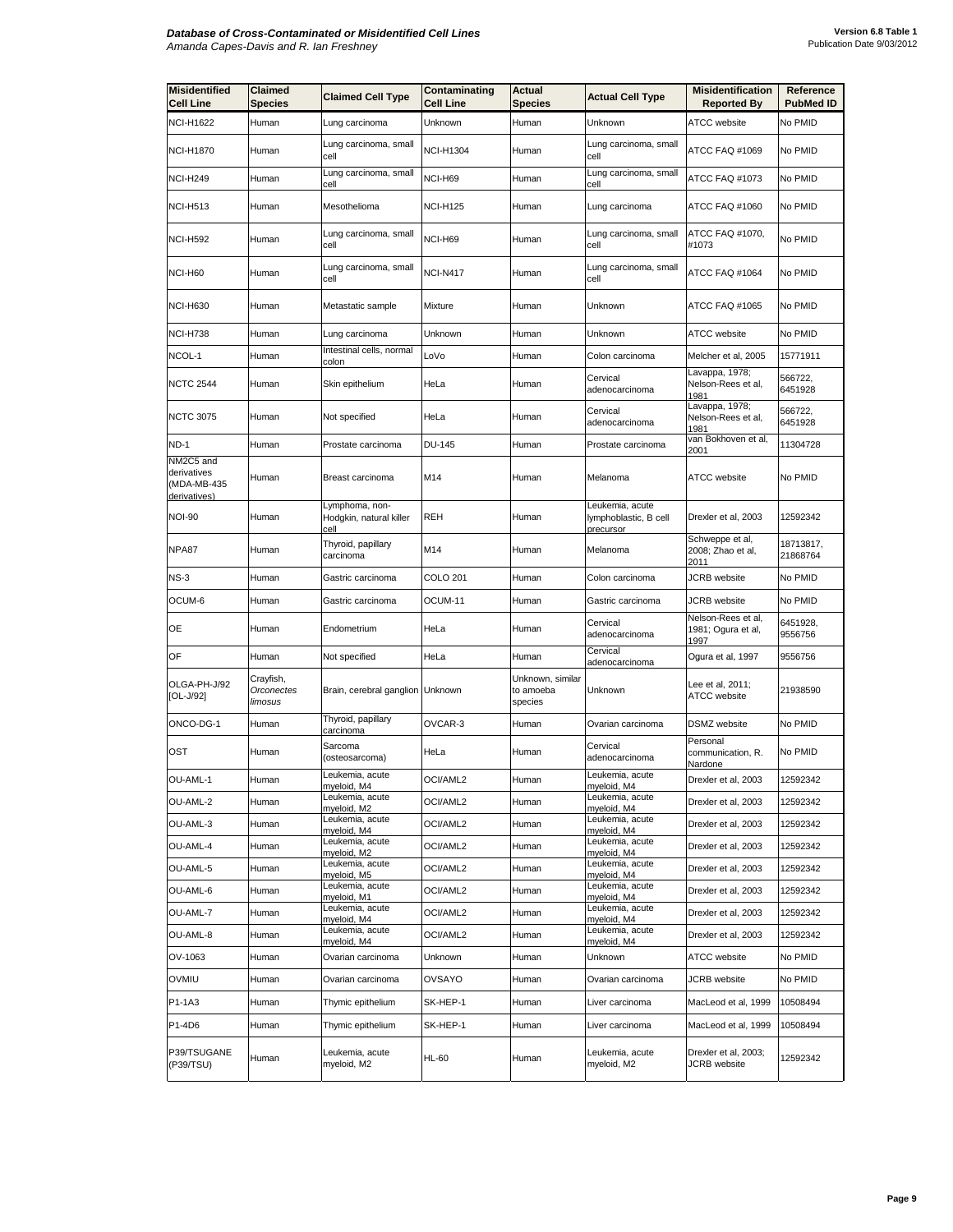| <b>Misidentified</b><br><b>Cell Line</b>                | Claimed<br><b>Species</b>          | <b>Claimed Cell Type</b>                          | Contaminating<br><b>Cell Line</b> | Actual<br><b>Species</b>                 | <b>Actual Cell Type</b>                               | <b>Misidentification</b><br><b>Reported By</b>   | Reference<br><b>PubMed ID</b> |
|---------------------------------------------------------|------------------------------------|---------------------------------------------------|-----------------------------------|------------------------------------------|-------------------------------------------------------|--------------------------------------------------|-------------------------------|
| <b>NCI-H1622</b>                                        | Human                              | Lung carcinoma                                    | Unknown                           | Human                                    | Unknown                                               | <b>ATCC</b> website                              | No PMID                       |
| <b>NCI-H1870</b>                                        | Human                              | Lung carcinoma, small<br>cell                     | <b>NCI-H1304</b>                  | Human                                    | Lung carcinoma, small<br>cell                         | ATCC FAQ #1069                                   | No PMID                       |
| <b>NCI-H249</b>                                         | Human                              | Lung carcinoma, small<br>cell                     | NCI-H69                           | Human                                    | Lung carcinoma, small<br>cell                         | ATCC FAQ #1073                                   | No PMID                       |
| <b>NCI-H513</b>                                         | Human                              | Mesothelioma                                      | <b>NCI-H125</b>                   | Human                                    | Lung carcinoma                                        | ATCC FAQ #1060                                   | No PMID                       |
| <b>NCI-H592</b>                                         | Human                              | Lung carcinoma, small<br>cell                     | NCI-H69                           | Human                                    | Lung carcinoma, small<br>cell                         | ATCC FAQ #1070,<br>#1073                         | No PMID                       |
| NCI-H60                                                 | Human                              | Lung carcinoma, small<br>cell                     | <b>NCI-N417</b>                   | Human                                    | Lung carcinoma, small<br>cell                         | ATCC FAQ #1064                                   | No PMID                       |
| <b>NCI-H630</b>                                         | Human                              | Metastatic sample                                 | <b>Mixture</b>                    | Human                                    | Unknown                                               | ATCC FAQ #1065                                   | No PMID                       |
| <b>NCI-H738</b>                                         | Human                              | Lung carcinoma                                    | Unknown                           | Human                                    | Unknown                                               | <b>ATCC</b> website                              | No PMID                       |
| NCOL-1                                                  | Human                              | Intestinal cells, normal<br>colon                 | LoVo                              | Human                                    | Colon carcinoma                                       | Melcher et al, 2005                              | 15771911                      |
| <b>NCTC 2544</b>                                        | Human                              | Skin epithelium                                   | HeLa                              | Human                                    | Cervical<br>adenocarcinoma                            | Lavappa, 1978;<br>Nelson-Rees et al,<br>1981     | 566722,<br>6451928            |
| <b>NCTC 3075</b>                                        | Human                              | Not specified                                     | HeLa                              | Human                                    | Cervical<br>adenocarcinoma                            | Lavappa, 1978;<br>Nelson-Rees et al,<br>1981     | 566722,<br>6451928            |
| <b>ND-1</b>                                             | Human                              | Prostate carcinoma                                | <b>DU-145</b>                     | Human                                    | Prostate carcinoma                                    | van Bokhoven et al,<br>2001                      | 11304728                      |
| NM2C5 and<br>derivatives<br>(MDA-MB-435<br>derivatives) | Human                              | Breast carcinoma                                  | M14                               | Human                                    | Melanoma                                              | <b>ATCC</b> website                              | No PMID                       |
| <b>NOI-90</b>                                           | Human                              | Lymphoma, non-<br>Hodgkin, natural killer<br>cell | <b>REH</b>                        | Human                                    | Leukemia, acute<br>lymphoblastic, B cell<br>precursor | Drexler et al, 2003                              | 12592342                      |
| NPA87                                                   | Human                              | Thyroid, papillary<br>carcinoma                   | M14                               | Human                                    | Melanoma                                              | Schweppe et al,<br>2008; Zhao et al,<br>2011     | 18713817,<br>21868764         |
| $NS-3$                                                  | Human                              | Gastric carcinoma                                 | <b>COLO 201</b>                   | Human                                    | Colon carcinoma                                       | <b>JCRB</b> website                              | No PMID                       |
| OCUM-6                                                  | Human                              | Gastric carcinoma                                 | OCUM-11                           | Human                                    | Gastric carcinoma                                     | <b>JCRB</b> website                              | No PMID                       |
| OE                                                      | Human                              | Endometrium                                       | HeLa                              | Human                                    | Cervical<br>adenocarcinoma                            | Nelson-Rees et al,<br>1981; Ogura et al,<br>1997 | 6451928,<br>9556756           |
| OF                                                      | Human                              | Not specified                                     | HeLa                              | Human                                    | Cervical<br>adenocarcinoma                            | Ogura et al, 1997                                | 9556756                       |
| OLGA-PH-J/92<br>[OL-J/92]                               | Crayfish,<br>Orconectes<br>limosus | Brain, cerebral ganglion Unknown                  |                                   | Unknown, similar<br>to amoeba<br>species | Unknown                                               | Lee et al, 2011;<br>ATCC website                 | 21938590                      |
| ONCO-DG-1                                               | Human                              | Thyroid, papillary<br>carcinoma                   | OVCAR-3                           | Human                                    | Ovarian carcinoma                                     | <b>DSMZ</b> website                              | No PMID                       |
| OST                                                     | Human                              | Sarcoma<br>(osteosarcoma)                         | HeLa                              | Human                                    | Cervical<br>adenocarcinoma                            | Personal<br>communication, R.<br>Nardone         | No PMID                       |
| OU-AML-1                                                | Human                              | Leukemia, acute<br>myeloid, M4                    | <b>OCI/AML2</b>                   | Human                                    | Leukemia, acute<br>myeloid, M4                        | Drexler et al, 2003                              | 12592342                      |
| OU-AML-2                                                | Human                              | Leukemia, acute<br>myeloid, M2                    | OCI/AML2                          | Human                                    | Leukemia, acute<br>myeloid, M4                        | Drexler et al, 2003                              | 12592342                      |
| OU-AML-3                                                | Human                              | Leukemia, acute<br>myeloid, M4                    | OCI/AML2                          | Human                                    | Leukemia, acute<br>myeloid, M4                        | Drexler et al, 2003                              | 12592342                      |
| OU-AML-4                                                | Human                              | Leukemia, acute<br>myeloid, M2                    | OCI/AML2                          | Human                                    | Leukemia, acute<br>myeloid, M4                        | Drexler et al, 2003                              | 12592342                      |
| OU-AML-5                                                | Human                              | Leukemia, acute<br>myeloid, M5                    | OCI/AML2                          | Human                                    | Leukemia, acute<br>myeloid, M4                        | Drexler et al, 2003                              | 12592342                      |
| OU-AML-6                                                | Human                              | Leukemia, acute<br>myeloid, M1                    | OCI/AML2                          | Human                                    | Leukemia, acute<br>myeloid, M4                        | Drexler et al, 2003                              | 12592342                      |
| OU-AML-7                                                | Human                              | Leukemia, acute<br>myeloid, M4                    | OCI/AML2                          | Human                                    | Leukemia, acute<br>myeloid, M4                        | Drexler et al, 2003                              | 12592342                      |
| OU-AML-8                                                | Human                              | Leukemia, acute<br>myeloid, M4                    | OCI/AML2                          | Human                                    | Leukemia, acute<br>myeloid, M4                        | Drexler et al, 2003                              | 12592342                      |
| OV-1063                                                 | Human                              | Ovarian carcinoma                                 | Unknown                           | Human                                    | Unknown                                               | <b>ATCC</b> website                              | No PMID                       |
| <b>OVMIU</b>                                            | Human                              | Ovarian carcinoma                                 | OVSAYO                            | Human                                    | Ovarian carcinoma                                     | JCRB website                                     | No PMID                       |
| P1-1A3                                                  | Human                              | Thymic epithelium                                 | SK-HEP-1                          | Human                                    | Liver carcinoma                                       | MacLeod et al, 1999                              | 10508494                      |
| P1-4D6                                                  | Human                              | Thymic epithelium                                 | SK-HEP-1                          | Human                                    | Liver carcinoma                                       | MacLeod et al, 1999                              | 10508494                      |
| P39/TSUGANE<br>(P39/TSU)                                | Human                              | Leukemia, acute<br>myeloid, M2                    | <b>HL-60</b>                      | Human                                    | Leukemia, acute<br>myeloid, M2                        | Drexler et al, 2003;<br>JCRB website             | 12592342                      |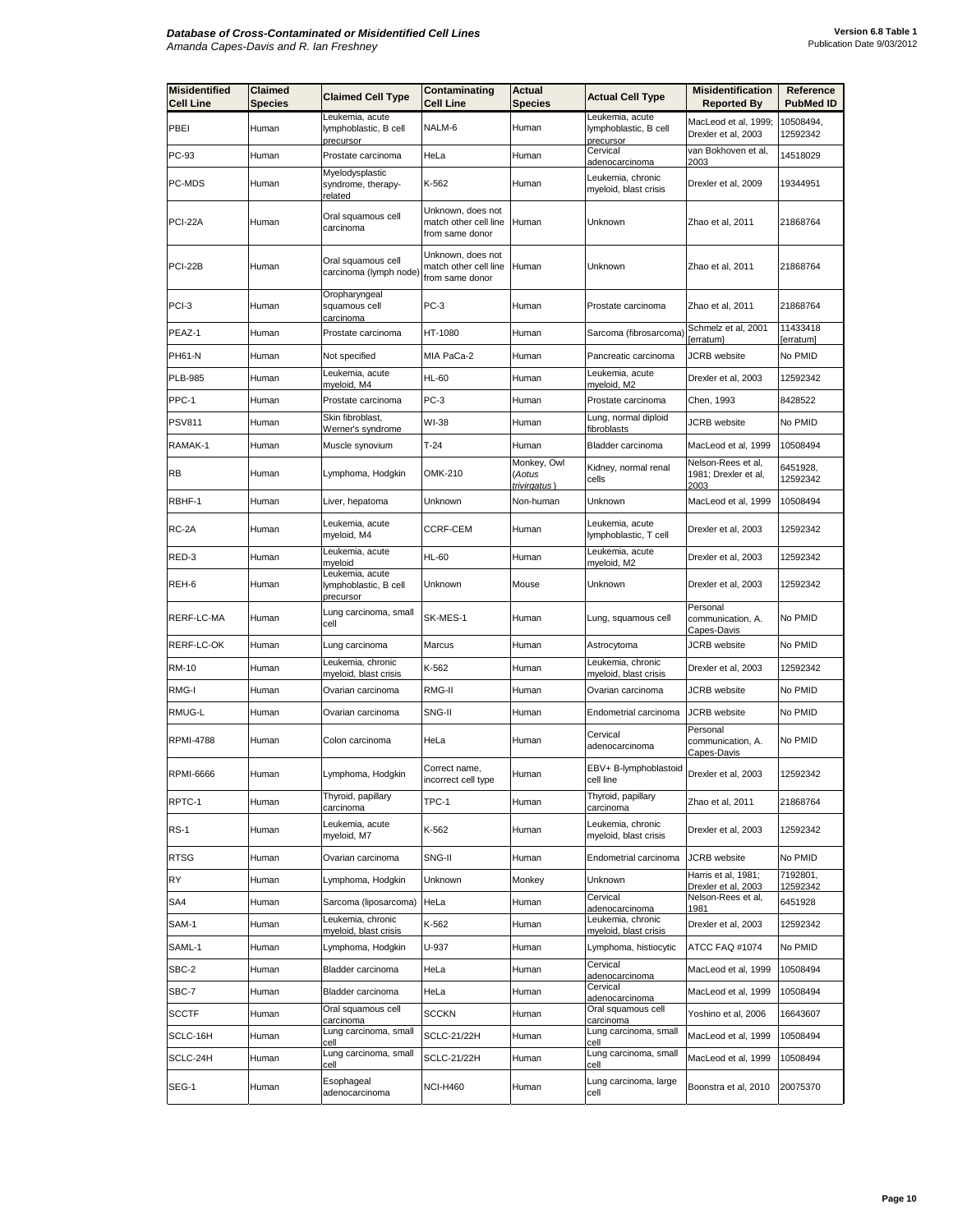| <b>Misidentified</b><br><b>Cell Line</b> | Claimed<br>Species | <b>Claimed Cell Type</b>                              | Contaminating<br><b>Cell Line</b>                             | <b>Actual</b><br><b>Species</b>       | <b>Actual Cell Type</b>                           | <b>Misidentification</b><br><b>Reported By</b>     | Reference<br><b>PubMed ID</b> |
|------------------------------------------|--------------------|-------------------------------------------------------|---------------------------------------------------------------|---------------------------------------|---------------------------------------------------|----------------------------------------------------|-------------------------------|
| PBEI                                     | Human              | Leukemia, acute<br>lymphoblastic, B cell              | NALM-6                                                        | Human                                 | Leukemia, acute<br>lymphoblastic, B cell          | MacLeod et al, 1999;<br>Drexler et al, 2003        | 10508494,<br>12592342         |
| PC-93                                    | Human              | precursor<br>Prostate carcinoma                       | HeLa                                                          | Human                                 | precursor<br>Cervical<br>adenocarcinoma           | van Bokhoven et al,<br>2003                        | 14518029                      |
| PC-MDS                                   | Human              | Myelodysplastic<br>syndrome, therapy-<br>related      | K-562                                                         | Human                                 | Leukemia, chronic<br>myeloid, blast crisis        | Drexler et al, 2009                                | 19344951                      |
| PCI-22A                                  | Human              | Oral squamous cell<br>carcinoma                       | Unknown, does not<br>match other cell line<br>from same donor | Human                                 | Unknown                                           | Zhao et al, 2011                                   | 21868764                      |
| PCI-22B                                  | Human              | Oral squamous cell<br>carcinoma (lymph node)          | Unknown, does not<br>match other cell line<br>from same donor | Human                                 | Unknown                                           | Zhao et al, 2011                                   | 21868764                      |
| PCI-3                                    | Human              | Oropharyngeal<br>squamous cell<br><u>carcinoma</u>    | PC-3                                                          | Human                                 | Prostate carcinoma                                | Zhao et al, 2011                                   | 21868764                      |
| PEAZ-1                                   | Human              | Prostate carcinoma                                    | HT-1080                                                       | Human                                 | Sarcoma (fibrosarcoma)                            | Schmelz et al, 2001<br>[erratum}                   | 11433418<br>[erratum]         |
| PH61-N                                   | Human              | Not specified                                         | MIA PaCa-2                                                    | Human                                 | Pancreatic carcinoma                              | JCRB website                                       | No PMID                       |
| <b>PLB-985</b>                           | Human              | Leukemia, acute<br>myeloid, M4                        | HL-60                                                         | Human                                 | Leukemia, acute<br>myeloid, M2                    | Drexler et al, 2003                                | 12592342                      |
| PPC-1                                    | Human              | Prostate carcinoma                                    | PC-3                                                          | Human                                 | Prostate carcinoma                                | Chen, 1993                                         | 8428522                       |
| <b>PSV811</b>                            | Human              | Skin fibroblast.<br>Werner's syndrome                 | WI-38                                                         | Human                                 | Lung, normal diploid<br>fibroblasts               | <b>JCRB</b> website                                | No PMID                       |
| RAMAK-1                                  | Human              | Muscle synovium                                       | $T-24$                                                        | Human                                 | Bladder carcinoma                                 | MacLeod et al, 1999                                | 10508494                      |
| <b>RB</b>                                | Human              | Lymphoma, Hodgkin                                     | OMK-210                                                       | Monkey, Owl<br>(Aotus<br>trivirgatus) | Kidney, normal renal<br>cells                     | Nelson-Rees et al,<br>1981; Drexler et al,<br>2003 | 6451928,<br>12592342          |
| RBHF-1                                   | Human              | Liver, hepatoma                                       | Unknown                                                       | Non-human                             | Unknown                                           | MacLeod et al, 1999                                | 10508494                      |
| RC-2A                                    | Human              | Leukemia, acute<br>myeloid, M4                        | CCRF-CEM                                                      | Human                                 | Leukemia, acute<br>lymphoblastic, T cell          | Drexler et al, 2003                                | 12592342                      |
| RED-3                                    | Human              | Leukemia, acute<br>myeloid                            | <b>HL-60</b>                                                  | Human                                 | Leukemia, acute<br>myeloid, M2                    | Drexler et al, 2003                                | 12592342                      |
| REH-6                                    | Human              | Leukemia, acute<br>lymphoblastic, B cell<br>precursor | Unknown                                                       | Mouse                                 | Unknown                                           | Drexler et al, 2003                                | 12592342                      |
| RERF-LC-MA                               | Human              | Lung carcinoma, small<br>cell                         | SK-MES-1                                                      | Human                                 | Lung, squamous cell                               | Personal<br>communication, A.<br>Capes-Davis       | No PMID                       |
| RERF-LC-OK                               | Human              | Lung carcinoma                                        | Marcus                                                        | Human                                 | Astrocytoma                                       | JCRB website                                       | No PMID                       |
| <b>RM-10</b>                             | Human              | Leukemia, chronic<br>myeloid, blast crisis            | K-562                                                         | Human                                 | eukemia, chronic<br>myeloid, blast crisis         | Drexler et al, 2003                                | 12592342                      |
| RMG-I                                    | Human              | Ovarian carcinoma                                     | RMG-II                                                        | Human                                 | Ovarian carcinoma                                 | JCRB website                                       | No PMID                       |
| RMUG-L                                   | Human              | Ovarian carcinoma                                     | SNG-II                                                        | Human                                 | Endometrial carcinoma                             | <b>JCRB</b> website                                | No PMID                       |
| <b>RPMI-4788</b>                         | Human              | Colon carcinoma                                       | HeLa                                                          | Human                                 | Cervical<br>adenocarcinoma                        | Personal<br>communication, A.<br>Capes-Davis       | No PMID                       |
| <b>RPMI-6666</b>                         | Human              | Lymphoma, Hodgkin                                     | Correct name,<br>ncorrect cell type                           | Human                                 | EBV+ B-lymphoblastoid<br>cell line                | Drexler et al, 2003                                | 12592342                      |
| RPTC-1                                   | Human              | Thyroid, papillary<br>carcinoma                       | TPC-1                                                         | Human                                 | Thyroid, papillary<br>carcinoma                   | Zhao et al, 2011                                   | 21868764                      |
| <b>RS-1</b>                              | Human              | Leukemia, acute<br>myeloid, M7                        | K-562                                                         | Human                                 | Leukemia, chronic<br>myeloid, blast crisis        | Drexler et al, 2003                                | 12592342                      |
| <b>RTSG</b>                              | Human              | Ovarian carcinoma                                     | SNG-II                                                        | Human                                 | Endometrial carcinoma                             | JCRB website                                       | No PMID                       |
| RY                                       | Human              | Lymphoma, Hodgkin                                     | Unknown                                                       | Monkey                                | Unknown                                           | Harris et al, 1981;<br>Drexler et al, 2003         | 7192801,<br>12592342          |
| SA4                                      | Human              | Sarcoma (liposarcoma)                                 | HeLa                                                          | Human                                 | Cervical<br>adenocarcinoma                        | Nelson-Rees et al,<br>1981                         | 6451928                       |
| SAM-1                                    | Human              | Leukemia, chronic<br>myeloid, blast crisis            | K-562                                                         | Human                                 | Leukemia, chronic<br><u>myeloid, blast crisis</u> | Drexler et al, 2003                                | 12592342                      |
| SAML-1                                   | Human              | Lymphoma, Hodgkin                                     | U-937                                                         | Human                                 | Lymphoma, histiocytic                             | ATCC FAQ #1074                                     | No PMID                       |
| SBC-2                                    | Human              | Bladder carcinoma                                     | HeLa                                                          | Human                                 | Cervical<br>adenocarcinoma                        | MacLeod et al, 1999                                | 10508494                      |
| SBC-7                                    | Human              | Bladder carcinoma                                     | HeLa                                                          | Human                                 | Cervical<br>adenocarcinoma                        | MacLeod et al, 1999                                | 10508494                      |
| <b>SCCTF</b>                             | Human              | Oral squamous cell<br>carcinoma                       | SCCKN                                                         | Human                                 | Oral squamous cell<br>carcinoma                   | Yoshino et al, 2006                                | 16643607                      |
| SCLC-16H                                 | Human              | Lung carcinoma, small<br>cell                         | <b>SCLC-21/22H</b>                                            | Human                                 | Lung carcinoma, small<br>ell                      | MacLeod et al, 1999                                | 10508494                      |
| SCLC-24H                                 | Human              | Lung carcinoma, small<br>cell                         | SCLC-21/22H                                                   | Human                                 | Lung carcinoma, small<br>cell                     | MacLeod et al, 1999                                | 10508494                      |
| SEG-1                                    | Human              | Esophageal<br>adenocarcinoma                          | NCI-H460                                                      | Human                                 | Lung carcinoma, large<br>cell                     | Boonstra et al, 2010                               | 20075370                      |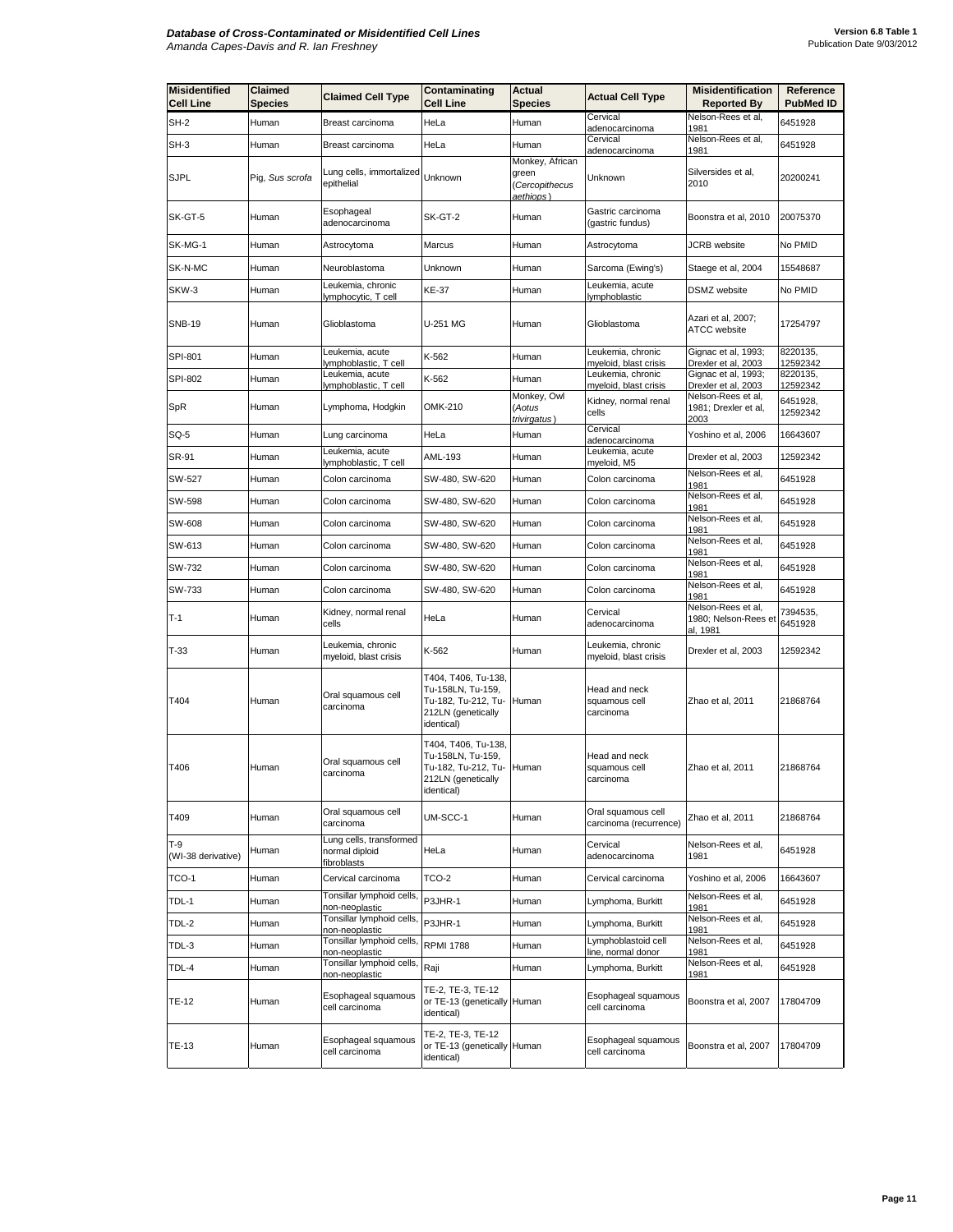| <b>Misidentified</b><br><b>Cell Line</b> | Claimed<br>Species | <b>Claimed Cell Type</b>                                | Contaminating<br><b>Cell Line</b>                                                                         | Actual<br>Species                                      | <b>Actual Cell Type</b>                      | <b>Misidentification</b><br><b>Reported By</b>         | Reference<br><b>PubMed ID</b> |
|------------------------------------------|--------------------|---------------------------------------------------------|-----------------------------------------------------------------------------------------------------------|--------------------------------------------------------|----------------------------------------------|--------------------------------------------------------|-------------------------------|
| $SH-2$                                   | Human              | Breast carcinoma                                        | HeLa                                                                                                      | Human                                                  | Cervical                                     | Nelson-Rees et al,                                     | 6451928                       |
| SH-3                                     | Human              | Breast carcinoma                                        | HeLa                                                                                                      | Human                                                  | adenocarcinoma<br>Cervical<br>adenocarcinoma | 1981<br>Nelson-Rees et al,<br>1981                     | 6451928                       |
| <b>SJPL</b>                              | Pig, Sus scrofa    | Lung cells, immortalized<br>epithelial                  | Unknown                                                                                                   | Monkey, African<br>green<br>Cercopithecus<br>aethiops) | Unknown                                      | Silversides et al,<br>2010                             | 20200241                      |
| SK-GT-5                                  | Human              | Esophageal<br>adenocarcinoma                            | SK-GT-2                                                                                                   | Human                                                  | Gastric carcinoma<br>(gastric fundus)        | Boonstra et al, 2010                                   | 20075370                      |
| SK-MG-1                                  | Human              | Astrocytoma                                             | Marcus                                                                                                    | Human                                                  | Astrocytoma                                  | <b>JCRB</b> website                                    | No PMID                       |
| SK-N-MC                                  | Human              | Neuroblastoma                                           | Unknown                                                                                                   | Human                                                  | Sarcoma (Ewing's)                            | Staege et al, 2004                                     | 15548687                      |
| SKW-3                                    | Human              | eukemia, chronic<br>lymphocytic, T cell                 | <b>KE-37</b>                                                                                              | Human                                                  | Leukemia, acute<br>lymphoblastic             | <b>DSMZ</b> website                                    | No PMID                       |
| <b>SNB-19</b>                            | Human              | Glioblastoma                                            | U-251 MG                                                                                                  | Human                                                  | Glioblastoma                                 | Azari et al, 2007;<br>ATCC website                     | 17254797                      |
| SPI-801                                  | Human              | Leukemia, acute<br>ymphoblastic, T cell                 | K-562                                                                                                     | Human                                                  | Leukemia, chronic<br>myeloid, blast crisis   | Gignac et al, 1993;<br>Drexler et al, 2003             | 8220135,<br>12592342          |
| <b>SPI-802</b>                           | Human              | Leukemia, acute<br>lymphoblastic, T cell                | K-562                                                                                                     | Human                                                  | Leukemia, chronic<br>myeloid, blast crisis   | Gignac et al, 1993;<br>Drexler et al, 2003             | 8220135,<br>12592342          |
| SpR                                      | Human              | Lymphoma, Hodgkin                                       | OMK-210                                                                                                   | Monkey, Owl<br>Aotus<br>trivirgatus)                   | Kidney, normal renal<br>cells                | Nelson-Rees et al,<br>1981; Drexler et al,<br>2003     | 6451928,<br>12592342          |
| SQ-5                                     | Human              | Lung carcinoma                                          | HeLa                                                                                                      | Human                                                  | Cervical<br>adenocarcinoma                   | Yoshino et al, 2006                                    | 16643607                      |
| SR-91                                    | Human              | Leukemia, acute<br>ymphoblastic, T cell                 | AML-193                                                                                                   | Human                                                  | Leukemia, acute<br>myeloid, M5               | Drexler et al, 2003                                    | 12592342                      |
| SW-527                                   | Human              | Colon carcinoma                                         | SW-480, SW-620                                                                                            | Human                                                  | Colon carcinoma                              | Nelson-Rees et al,<br>1981                             | 6451928                       |
| SW-598                                   | Human              | Colon carcinoma                                         | SW-480, SW-620                                                                                            | Human                                                  | Colon carcinoma                              | Nelson-Rees et al,<br>1981                             | 6451928                       |
| SW-608                                   | Human              | Colon carcinoma                                         | SW-480, SW-620                                                                                            | Human                                                  | Colon carcinoma                              | Nelson-Rees et al,<br>1981                             | 6451928                       |
| SW-613                                   | Human              | Colon carcinoma                                         | SW-480, SW-620                                                                                            | Human                                                  | Colon carcinoma                              | Nelson-Rees et al,<br>1981                             | 6451928                       |
| SW-732                                   | Human              | Colon carcinoma                                         | SW-480, SW-620                                                                                            | Human                                                  | Colon carcinoma                              | Nelson-Rees et al,<br>1981                             | 6451928                       |
| SW-733                                   | Human              | Colon carcinoma                                         | SW-480, SW-620                                                                                            | Human                                                  | Colon carcinoma                              | Nelson-Rees et al,<br>1981                             | 6451928                       |
| $T-1$                                    | Human              | Kidney, normal renal<br>cells                           | HeLa                                                                                                      | Human                                                  | Cervical<br>adenocarcinoma                   | Nelson-Rees et al,<br>1980; Nelson-Rees et<br>al. 1981 | 7394535,<br>6451928           |
| $T-33$                                   | Human              | Leukemia, chronic<br>myeloid, blast crisis              | K-562                                                                                                     | Human                                                  | Leukemia, chronic<br>myeloid, blast crisis   | Drexler et al, 2003                                    | 12592342                      |
| T404                                     | Human              | Oral squamous cell<br>carcinoma                         | T404, T406, Tu-138,<br>Tu-158LN, Tu-159,<br>Tu-182, Tu-212, Tu-<br>212LN (genetically<br>identical)       | Human                                                  | Head and neck<br>squamous cell<br>carcinoma  | Zhao et al, 2011                                       | 21868764                      |
| T406                                     | Human              | Oral squamous cell<br>carcinoma                         | T404, T406, Tu-138,<br>Tu-158LN, Tu-159,<br>Tu-182, Tu-212, Tu- Human<br>212LN (genetically<br>identical) |                                                        | Head and neck<br>squamous cell<br>carcinoma  | Zhao et al, 2011                                       | 21868764                      |
| T409                                     | Human              | Oral squamous cell<br>carcinoma                         | UM-SCC-1                                                                                                  | Human                                                  | Oral squamous cell<br>carcinoma (recurrence) | Zhao et al, 2011                                       | 21868764                      |
| $T-9$<br>(WI-38 derivative)              | Human              | ung cells, transformed<br>normal diploid<br>fibroblasts | HeLa                                                                                                      | Human                                                  | Cervical<br>adenocarcinoma                   | Nelson-Rees et al,<br>1981                             | 6451928                       |
| TCO-1                                    | Human              | Cervical carcinoma                                      | TCO-2                                                                                                     | Human                                                  | Cervical carcinoma                           | Yoshino et al, 2006                                    | 16643607                      |
| TDL-1                                    | Human              | Tonsillar lymphoid cells,<br>hon-neoplastic             | P3JHR-1                                                                                                   | Human                                                  | Lymphoma, Burkitt                            | Nelson-Rees et al,<br>1981                             | 6451928                       |
| TDL-2                                    | Human              | Tonsillar lymphoid cells,<br>on-neoplastic              | P3JHR-1                                                                                                   | Human                                                  | Lymphoma, Burkitt                            | Nelson-Rees et al,<br>1981                             | 6451928                       |
| TDL-3                                    | Human              | Tonsillar lymphoid cells,<br>non-neoplastic             | <b>RPMI 1788</b>                                                                                          | Human                                                  | Lymphoblastoid cell<br>line, normal donor    | Nelson-Rees et al,<br>1981                             | 6451928                       |
| TDL-4                                    | Human              | Tonsillar lymphoid cells,<br>non-neoplastic             | Raji                                                                                                      | Human                                                  | Lymphoma, Burkitt                            | Nelson-Rees et al,<br>1981                             | 6451928                       |
| <b>TE-12</b>                             | Human              | Esophageal squamous<br>cell carcinoma                   | TE-2, TE-3, TE-12<br>or TE-13 (genetically Human<br>identical)                                            |                                                        | Esophageal squamous<br>cell carcinoma        | Boonstra et al, 2007                                   | 17804709                      |
| TE-13                                    | Human              | Esophageal squamous<br>cell carcinoma                   | TE-2, TE-3, TE-12<br>or TE-13 (genetically Human<br>identical)                                            |                                                        | Esophageal squamous<br>cell carcinoma        | Boonstra et al, 2007                                   | 17804709                      |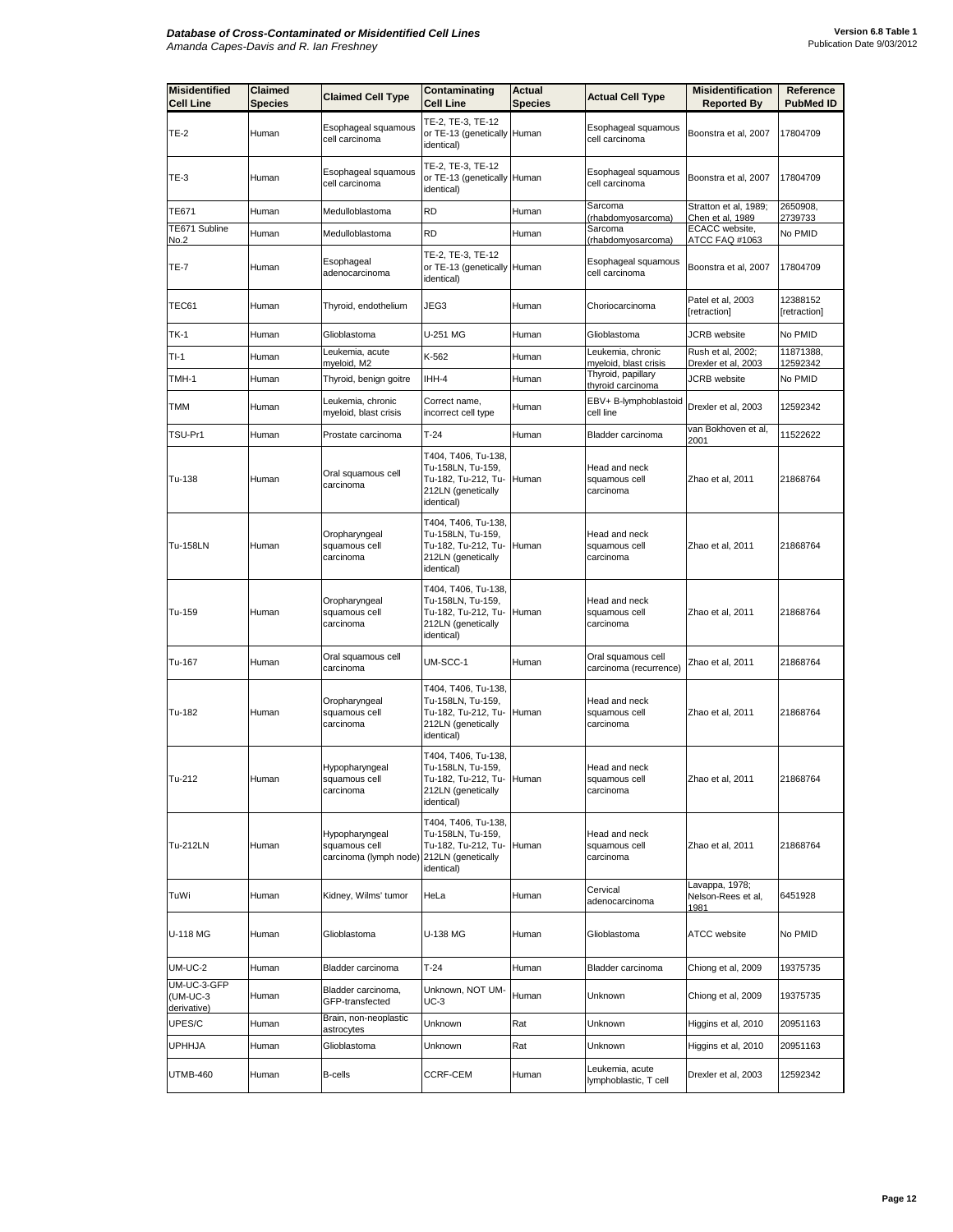| <b>Misidentified</b><br><b>Cell Line</b> | Claimed<br><b>Species</b> | <b>Claimed Cell Type</b>                                                     | Contaminating<br><b>Cell Line</b>                                                                   | <b>Actual</b><br><b>Species</b> | <b>Actual Cell Type</b>                      | <b>Misidentification</b><br><b>Reported By</b> | <b>Reference</b><br><b>PubMed ID</b> |
|------------------------------------------|---------------------------|------------------------------------------------------------------------------|-----------------------------------------------------------------------------------------------------|---------------------------------|----------------------------------------------|------------------------------------------------|--------------------------------------|
| <b>TE-2</b>                              | Human                     | Esophageal squamous<br>cell carcinoma                                        | TE-2, TE-3, TE-12<br>or TE-13 (genetically Human<br>identical)                                      |                                 | Esophageal squamous<br>cell carcinoma        | Boonstra et al, 2007                           | 17804709                             |
| <b>TE-3</b>                              | Human                     | Esophageal squamous<br>cell carcinoma                                        | TE-2, TE-3, TE-12<br>or TE-13 (genetically Human<br>identical)                                      |                                 | Esophageal squamous<br>cell carcinoma        | Boonstra et al, 2007                           | 17804709                             |
| TE671                                    | Human                     | Medulloblastoma                                                              | RD                                                                                                  | Human                           | Sarcoma<br>(rhabdomyosarcoma)                | Stratton et al, 1989;<br>Chen et al, 1989      | 2650908,<br>2739733                  |
| TE671 Subline<br>No.2                    | Human                     | Medulloblastoma                                                              | RD                                                                                                  | Human                           | Sarcoma<br>(rhabdomyosarcoma)                | ECACC website,<br>ATCC FAQ #1063               | No PMID                              |
| TE-7                                     | Human                     | Esophageal<br>adenocarcinoma                                                 | TE-2, TE-3, TE-12<br>or TE-13 (genetically Human<br>identical)                                      |                                 | Esophageal squamous<br>cell carcinoma        | Boonstra et al, 2007                           | 17804709                             |
| TEC61                                    | Human                     | Thyroid, endothelium                                                         | JEG3                                                                                                | Human                           | Choriocarcinoma                              | Patel et al, 2003<br>[retraction]              | 12388152<br>[retraction]             |
| TK-1                                     | Human                     | Glioblastoma                                                                 | U-251 MG                                                                                            | Human                           | Glioblastoma                                 | JCRB website                                   | No PMID                              |
| TI-1                                     | Human                     | Leukemia, acute<br>myeloid, M2                                               | K-562                                                                                               | Human                           | Leukemia, chronic<br>myeloid, blast crisis   | Rush et al, 2002;<br>Drexler et al, 2003       | 11871388,<br>12592342                |
| TMH-1                                    | Human                     | Thyroid, benign goitre                                                       | IHH-4                                                                                               | Human                           | Thyroid, papillary<br>thyroid carcinoma      | <b>JCRB</b> website                            | No PMID                              |
| <b>TMM</b>                               | Human                     | Leukemia, chronic<br>myeloid, blast crisis                                   | Correct name,<br>incorrect cell type                                                                | Human                           | EBV+ B-lymphoblastoid<br>cell line           | Drexler et al, 2003                            | 12592342                             |
| TSU-Pr1                                  | Human                     | Prostate carcinoma                                                           | $T-24$                                                                                              | Human                           | Bladder carcinoma                            | van Bokhoven et al,<br>2001                    | 11522622                             |
| Tu-138                                   | Human                     | Oral squamous cell<br>carcinoma                                              | T404, T406, Tu-138,<br>Tu-158LN, Tu-159,<br>Tu-182, Tu-212, Tu-<br>212LN (genetically<br>identical) | Human                           | Head and neck<br>squamous cell<br>carcinoma  | Zhao et al, 2011                               | 21868764                             |
| Tu-158LN                                 | Human                     | Oropharyngeal<br>squamous cell<br>carcinoma                                  | T404, T406, Tu-138,<br>Tu-158LN, Tu-159,<br>Tu-182, Tu-212, Tu-<br>212LN (genetically<br>identical) | Human                           | Head and neck<br>squamous cell<br>carcinoma  | Zhao et al, 2011                               | 21868764                             |
| Tu-159                                   | Human                     | Oropharyngeal<br>squamous cell<br>carcinoma                                  | T404, T406, Tu-138,<br>Tu-158LN, Tu-159,<br>Tu-182, Tu-212, Tu-<br>212LN (genetically<br>identical) | Human                           | Head and neck<br>squamous cell<br>carcinoma  | Zhao et al, 2011                               | 21868764                             |
| Tu-167                                   | Human                     | Oral squamous cell<br>carcinoma                                              | UM-SCC-1                                                                                            | Human                           | Oral squamous cell<br>carcinoma (recurrence) | Zhao et al, 2011                               | 21868764                             |
| Tu-182                                   | Human                     | Oropharyngeal<br>squamous cell<br>carcinoma                                  | T404, T406, Tu-138,<br>Tu-158LN, Tu-159,<br>Tu-182, Tu-212, Tu-<br>212LN (genetically<br>identical) | Human                           | Head and neck<br>squamous cell<br>carcinoma  | Zhao et al, 2011                               | 21868764                             |
| Tu-212                                   | Human                     | Hypopharyngeal<br>squamous cell<br>carcinoma                                 | T404, T406, Tu-138,<br>Tu-158LN, Tu-159,<br>Tu-182, Tu-212, Tu-<br>212LN (genetically<br>identical) | Human                           | Head and neck<br>squamous cell<br>carcinoma  | Zhao et al, 2011                               | 21868764                             |
| Tu-212LN                                 | Human                     | Hypopharyngeal<br>squamous cell<br>carcinoma (lymph node) 212LN (genetically | T404, T406, Tu-138,<br>Tu-158LN, Tu-159,<br>Tu-182, Tu-212, Tu- Human<br>identical)                 |                                 | Head and neck<br>squamous cell<br>carcinoma  | Zhao et al, 2011                               | 21868764                             |
| TuWi                                     | Human                     | Kidney, Wilms' tumor                                                         | HeLa                                                                                                | Human                           | Cervical<br>adenocarcinoma                   | Lavappa, 1978;<br>Nelson-Rees et al,<br>1981   | 6451928                              |
| U-118 MG                                 | Human                     | Glioblastoma                                                                 | U-138 MG                                                                                            | Human                           | Glioblastoma                                 | <b>ATCC</b> website                            | No PMID                              |
| <b>UM-UC-2</b>                           | Human                     | Bladder carcinoma                                                            | $T-24$                                                                                              | Human                           | Bladder carcinoma                            | Chiong et al, 2009                             | 19375735                             |
| UM-UC-3-GFP<br>(UM-UC-3<br>derivative)   | Human                     | Bladder carcinoma,<br>GFP-transfected                                        | Unknown, NOT UM-<br><b>UC-3</b>                                                                     | Human                           | Unknown                                      | Chiong et al, 2009                             | 19375735                             |
| UPES/C                                   | Human                     | Brain, non-neoplastic<br>astrocytes                                          | Unknown                                                                                             | Rat                             | Unknown                                      | Higgins et al, 2010                            | 20951163                             |
| <b>UPHHJA</b>                            | Human                     | Glioblastoma                                                                 | Unknown                                                                                             | Rat                             | Unknown                                      | Higgins et al, 2010                            | 20951163                             |
| <b>UTMB-460</b>                          | Human                     | B-cells                                                                      | <b>CCRF-CEM</b>                                                                                     | Human                           | Leukemia, acute<br>lymphoblastic, T cell     | Drexler et al, 2003                            | 12592342                             |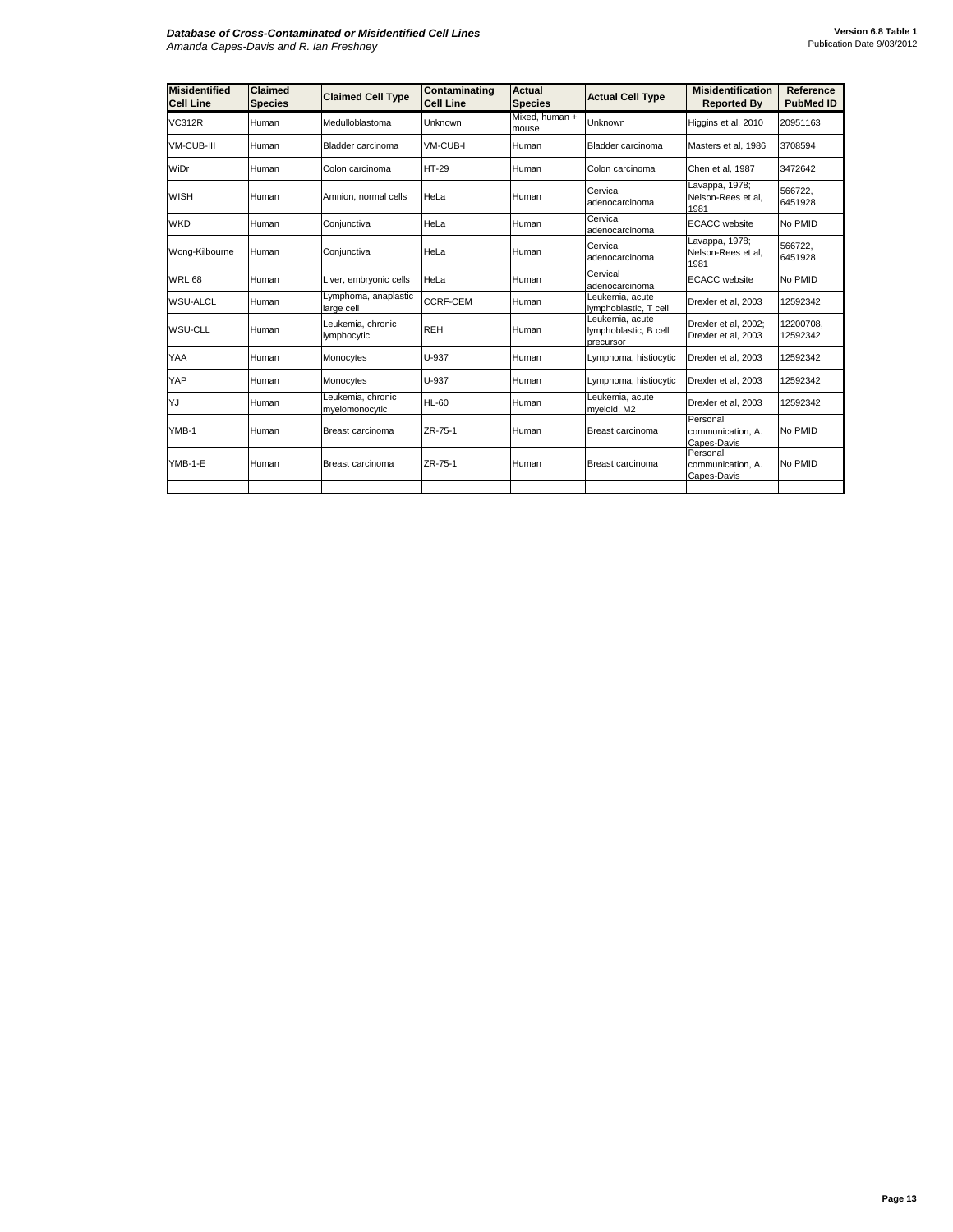| <b>Misidentified</b><br><b>Cell Line</b> | <b>Claimed</b><br><b>Species</b> | <b>Claimed Cell Type</b>            | Contaminating<br><b>Cell Line</b> | <b>Actual</b><br><b>Species</b> | <b>Actual Cell Type</b>                               | <b>Misidentification</b><br><b>Reported By</b> | Reference<br><b>PubMed ID</b> |
|------------------------------------------|----------------------------------|-------------------------------------|-----------------------------------|---------------------------------|-------------------------------------------------------|------------------------------------------------|-------------------------------|
| <b>VC312R</b>                            | Human                            | Medulloblastoma                     | Unknown                           | Mixed, human +<br>mouse         | Unknown                                               | Higgins et al, 2010                            | 20951163                      |
| <b>VM-CUB-III</b>                        | Human                            | Bladder carcinoma                   | VM-CUB-I                          | Human                           | Bladder carcinoma                                     | Masters et al, 1986                            | 3708594                       |
| WiDr                                     | Human                            | Colon carcinoma                     | <b>HT-29</b>                      | Human                           | Colon carcinoma                                       | Chen et al, 1987                               | 3472642                       |
| <b>WISH</b>                              | Human                            | Amnion, normal cells                | <b>HeLa</b>                       | Human                           | Cervical<br>adenocarcinoma                            | Lavappa, 1978;<br>Nelson-Rees et al,<br>1981   | 566722,<br>6451928            |
| <b>WKD</b>                               | Human                            | Conjunctiva                         | HeLa                              | Human                           | Cervical<br>adenocarcinoma                            | <b>ECACC</b> website                           | No PMID                       |
| Wong-Kilbourne                           | Human                            | Conjunctiva                         | HeLa                              | Human                           | Cervical<br>adenocarcinoma                            | Lavappa, 1978;<br>Nelson-Rees et al.<br>1981   | 566722.<br>6451928            |
| <b>WRL 68</b>                            | Human                            | Liver, embryonic cells              | HeLa                              | Human                           | Cervical<br>adenocarcinoma                            | <b>ECACC</b> website                           | No PMID                       |
| <b>WSU-ALCL</b>                          | Human                            | Lymphoma, anaplastic<br>large cell  | <b>CCRF-CEM</b>                   | Human                           | Leukemia, acute<br>lymphoblastic, T cell              | Drexler et al, 2003                            | 12592342                      |
| <b>WSU-CLL</b>                           | Human                            | Leukemia, chronic<br>lymphocytic    | <b>REH</b>                        | Human                           | Leukemia, acute<br>lymphoblastic, B cell<br>precursor | Drexler et al, 2002;<br>Drexler et al, 2003    | 12200708.<br>12592342         |
| YAA                                      | Human                            | Monocytes                           | U-937                             | Human                           | Lymphoma, histiocytic                                 | Drexler et al. 2003                            | 12592342                      |
| YAP                                      | Human                            | Monocytes                           | U-937                             | Human                           | Lymphoma, histiocytic                                 | Drexler et al, 2003                            | 12592342                      |
| YJ                                       | Human                            | Leukemia, chronic<br>myelomonocytic | <b>HL-60</b>                      | Human                           | Leukemia, acute<br>myeloid, M2                        | Drexler et al. 2003                            | 12592342                      |
| YMB-1                                    | Human                            | Breast carcinoma                    | ZR-75-1                           | Human                           | Breast carcinoma                                      | Personal<br>communication, A.<br>Capes-Davis   | No PMID                       |
| YMB-1-E                                  | Human                            | Breast carcinoma                    | ZR-75-1                           | Human                           | Breast carcinoma                                      | Personal<br>communication. A.<br>Capes-Davis   | No PMID                       |
|                                          |                                  |                                     |                                   |                                 |                                                       |                                                |                               |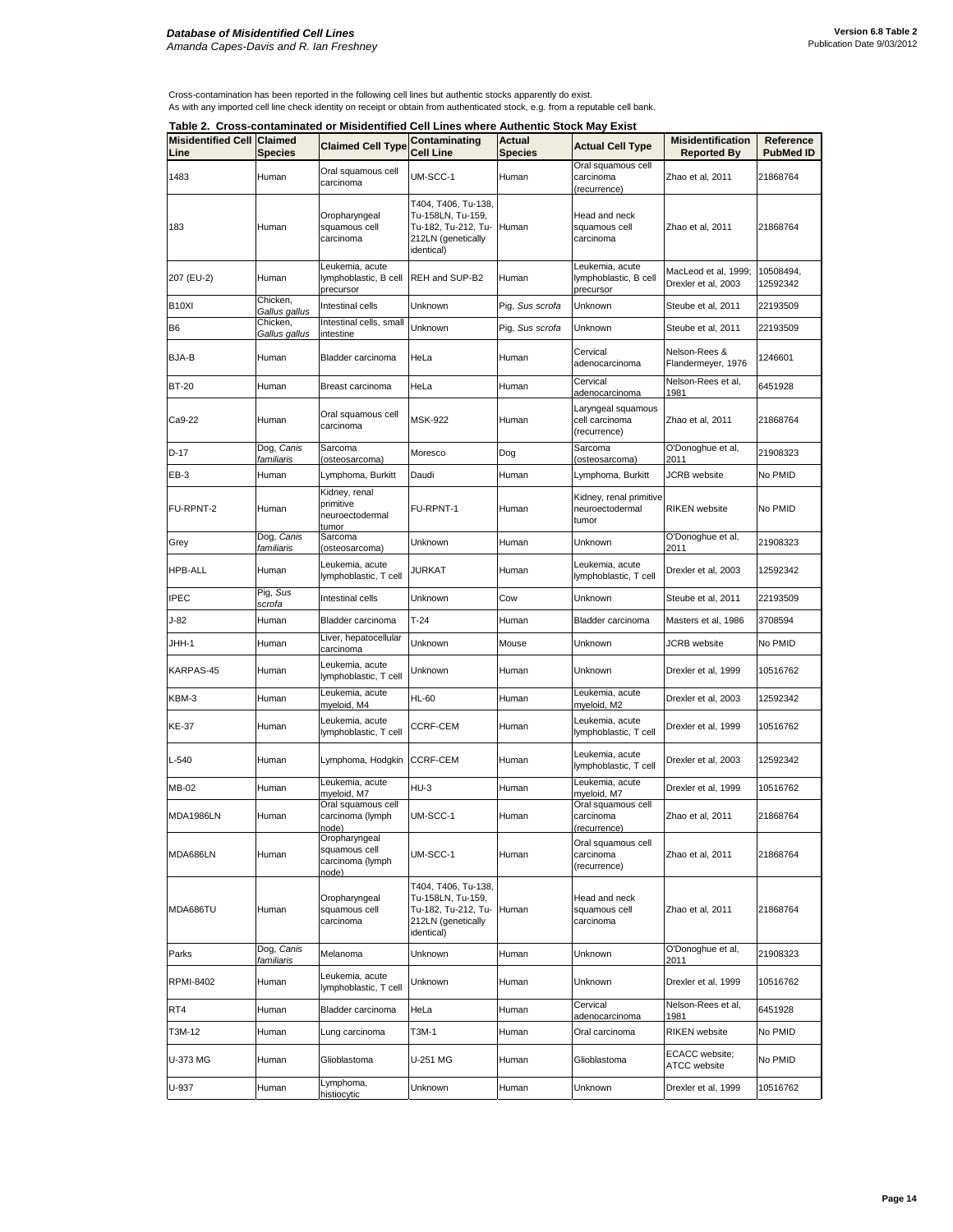Cross-contamination has been reported in the following cell lines but authentic stocks apparently do exist. As with any imported cell line check identity on receipt or obtain from authenticated stock, e.g. from a reputable cell bank.

|                                           |                                 | Table 2.  Cross-contaminated or Misidentified Cell Lines where Authentic Stock May Exist |                                                                                                     |                          |                                                       |                                                |                               |
|-------------------------------------------|---------------------------------|------------------------------------------------------------------------------------------|-----------------------------------------------------------------------------------------------------|--------------------------|-------------------------------------------------------|------------------------------------------------|-------------------------------|
| <b>Misidentified Cell Claimed</b><br>Line | <b>Species</b>                  | <b>Claimed Cell Type</b>                                                                 | Contaminating<br><b>Cell Line</b>                                                                   | Actual<br><b>Species</b> | <b>Actual Cell Type</b>                               | <b>Misidentification</b><br><b>Reported By</b> | Reference<br><b>PubMed ID</b> |
| 1483                                      | Human                           | Oral squamous cell<br>carcinoma                                                          | UM-SCC-1                                                                                            | Human                    | Oral squamous cell<br>carcinoma<br>(recurrence)       | Zhao et al, 2011                               | 21868764                      |
| 183                                       | Human                           | Oropharyngeal<br>squamous cell<br>carcinoma                                              | T404, T406, Tu-138,<br>Tu-158LN, Tu-159,<br>Tu-182, Tu-212, Tu-<br>212LN (genetically<br>identical) | Human                    | Head and neck<br>squamous cell<br>carcinoma           | Zhao et al, 2011                               | 21868764                      |
| 207 (EU-2)                                | Human                           | Leukemia, acute<br>lymphoblastic, B cell<br>precursor                                    | REH and SUP-B2                                                                                      | Human                    | Leukemia, acute<br>lymphoblastic, B cell<br>precursor | MacLeod et al, 1999;<br>Drexler et al, 2003    | 10508494,<br>12592342         |
| B <sub>10XI</sub>                         | Chicken.<br>Gallus gallus       | Intestinal cells                                                                         | Unknown                                                                                             | Pig, Sus scrofa          | Unknown                                               | Steube et al, 2011                             | 22193509                      |
| B6                                        | Chicken,<br>Gallus gallus       | Intestinal cells, small<br>intestine                                                     | Unknown                                                                                             | Pig, Sus scrofa          | Unknown                                               | Steube et al, 2011                             | 22193509                      |
| BJA-B                                     | Human                           | Bladder carcinoma                                                                        | HeLa                                                                                                | Human                    | Cervical<br>adenocarcinoma                            | Nelson-Rees &<br>Flandermeyer, 1976            | 1246601                       |
| <b>BT-20</b>                              | Human                           | Breast carcinoma                                                                         | HeLa                                                                                                | Human                    | Cervical<br>adenocarcinoma                            | Nelson-Rees et al,<br>1981                     | 6451928                       |
| Ca9-22                                    | Human                           | Oral squamous cell<br>carcinoma                                                          | <b>MSK-922</b>                                                                                      | Human                    | Laryngeal squamous<br>cell carcinoma<br>(recurrence)  | Zhao et al, 2011                               | 21868764                      |
| D-17                                      | Dog, Canis<br>familiaris        | Sarcoma<br>(osteosarcoma)                                                                | Moresco                                                                                             | Dog                      | Sarcoma<br>(osteosarcoma)                             | O'Donoghue et al,<br>2011                      | 21908323                      |
| EB-3                                      | Human                           | Lymphoma, Burkitt                                                                        | Daudi                                                                                               | Human                    | Lymphoma, Burkitt                                     | <b>JCRB</b> website                            | No PMID                       |
| FU-RPNT-2                                 | Human                           | Kidney, renal<br>primitive<br>neuroectodermal<br>tumor                                   | FU-RPNT-1                                                                                           | Human                    | Kidney, renal primitive<br>neuroectodermal<br>tumor   | <b>RIKEN</b> website                           | No PMID                       |
| Grey                                      | Dog, Canis<br>familiaris        | Sarcoma<br>(osteosarcoma)                                                                | Unknown                                                                                             | Human                    | Unknown                                               | O'Donoghue et al,<br>2011                      | 21908323                      |
| <b>HPB-ALL</b>                            | Human                           | Leukemia, acute<br>lymphoblastic, T cell                                                 | JURKAT                                                                                              | Human                    | Leukemia, acute<br>lymphoblastic, T cell              | Drexler et al, 2003                            | 12592342                      |
| <b>IPEC</b>                               | Pig, Sus<br>scrofa              | Intestinal cells                                                                         | Unknown                                                                                             | Cow                      | Unknown                                               | Steube et al, 2011                             | 22193509                      |
| J-82                                      | Human                           | Bladder carcinoma                                                                        | $T-24$                                                                                              | Human                    | Bladder carcinoma                                     | Masters et al, 1986                            | 3708594                       |
| JHH-1                                     | Human                           | Liver, hepatocellular<br>carcinoma                                                       | Unknown                                                                                             | Mouse                    | Unknown                                               | JCRB website                                   | No PMID                       |
| KARPAS-45                                 | Human                           | Leukemia, acute<br>lymphoblastic, T cell                                                 | Unknown                                                                                             | Human                    | Unknown                                               | Drexler et al, 1999                            | 10516762                      |
| KBM-3                                     | Human                           | Leukemia, acute<br>myeloid, M4                                                           | <b>HL-60</b>                                                                                        | Human                    | Leukemia, acute<br>myeloid, M2                        | Drexler et al, 2003                            | 12592342                      |
| KE-37                                     | Human                           | Leukemia, acute<br>lymphoblastic, T cell                                                 | CCRF-CEM                                                                                            | Human                    | Leukemia, acute<br>lymphoblastic, T cell              | Drexler et al, 1999                            | 10516762                      |
| L-540                                     | Human                           | Lymphoma, Hodgkin                                                                        | <b>CCRF-CEM</b>                                                                                     | Human                    | Leukemia, acute<br>lymphoblastic, T cell              | Drexler et al, 2003                            | 12592342                      |
| MB-02                                     | Human                           | Leukemia, acute<br>myeloid, M7                                                           | $HU-3$                                                                                              | Human                    | Leukemia, acute<br>myeloid, M7                        | Drexler et al, 1999                            | 10516762                      |
| <b>MDA1986LN</b>                          | Human                           | Oral squamous cell<br>carcinoma (lymph<br>node)                                          | UM-SCC-1                                                                                            | Human                    | Oral squamous cell<br>carcinoma<br>(recurrence)       | Zhao et al, 2011                               | 21868764                      |
| MDA686LN                                  | Human                           | Oropharyngeal<br>squamous cell<br>carcinoma (lymph<br>node)                              | UM-SCC-1                                                                                            | Human                    | Oral squamous cell<br>carcinoma<br>(recurrence)       | Zhao et al, 2011                               | 21868764                      |
| MDA686TU                                  | Human                           | Oropharyngeal<br>squamous cell<br>carcinoma                                              | T404, T406, Tu-138,<br>Tu-158LN, Tu-159.<br>Tu-182, Tu-212, Tu-<br>212LN (genetically<br>identical) | Human                    | Head and neck<br>squamous cell<br>carcinoma           | Zhao et al, 2011                               | 21868764                      |
| Parks                                     | Dog, <i>Canis</i><br>familiaris | Melanoma                                                                                 | Unknown                                                                                             | Human                    | Unknown                                               | O'Donoghue et al,<br>2011                      | 21908323                      |
| RPMI-8402                                 | Human                           | Leukemia, acute<br>lymphoblastic, T cell                                                 | Unknown                                                                                             | Human                    | Unknown                                               | Drexler et al, 1999                            | 10516762                      |
| RT4                                       | Human                           | Bladder carcinoma                                                                        | HeLa                                                                                                | Human                    | Cervical<br>adenocarcinoma                            | Nelson-Rees et al,<br>1981                     | 6451928                       |
| T3M-12                                    | Human                           | Lung carcinoma                                                                           | T3M-1                                                                                               | Human                    | Oral carcinoma                                        | <b>RIKEN</b> website                           | No PMID                       |
| U-373 MG                                  | Human                           | Glioblastoma                                                                             | U-251 MG                                                                                            | Human                    | Glioblastoma                                          | ECACC website;<br>ATCC website                 | No PMID                       |
| U-937                                     | Human                           | Lymphoma,<br>histiocytic                                                                 | Unknown                                                                                             | Human                    | Unknown                                               | Drexler et al, 1999                            | 10516762                      |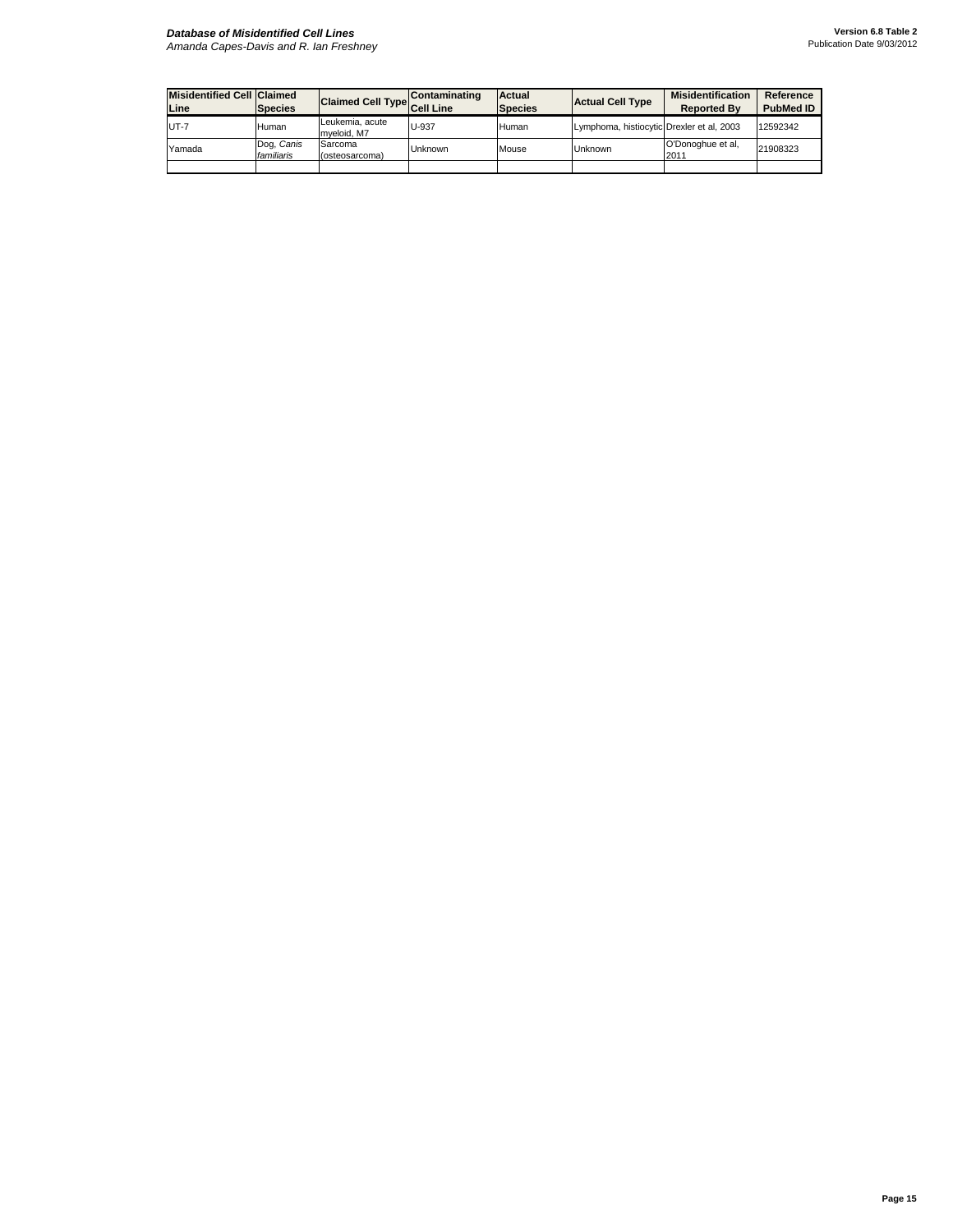## *Database of Misidentified Cell Lines*

| <b>Misidentified Cell Claimed</b><br>Line | <b>Species</b>           | Claimed Cell Type Cell Line    | <b>Contaminating</b> | Actual<br><b>Species</b> | <b>Actual Cell Type</b>                   | <b>Misidentification</b><br><b>Reported By</b> | Reference<br><b>PubMed ID</b> |
|-------------------------------------------|--------------------------|--------------------------------|----------------------|--------------------------|-------------------------------------------|------------------------------------------------|-------------------------------|
| <b>UT-7</b>                               | Human                    | Leukemia, acute<br>mveloid, M7 | U-937                | Human                    | Lymphoma, histiocytic Drexler et al, 2003 |                                                | 12592342                      |
| Yamada                                    | Dog, Canis<br>familiaris | Sarcoma<br>(osteosarcoma)      | <b>Unknown</b>       | Mouse                    | Unknown                                   | O'Donoghue et al,<br>2011                      | 21908323                      |
|                                           |                          |                                |                      |                          |                                           |                                                |                               |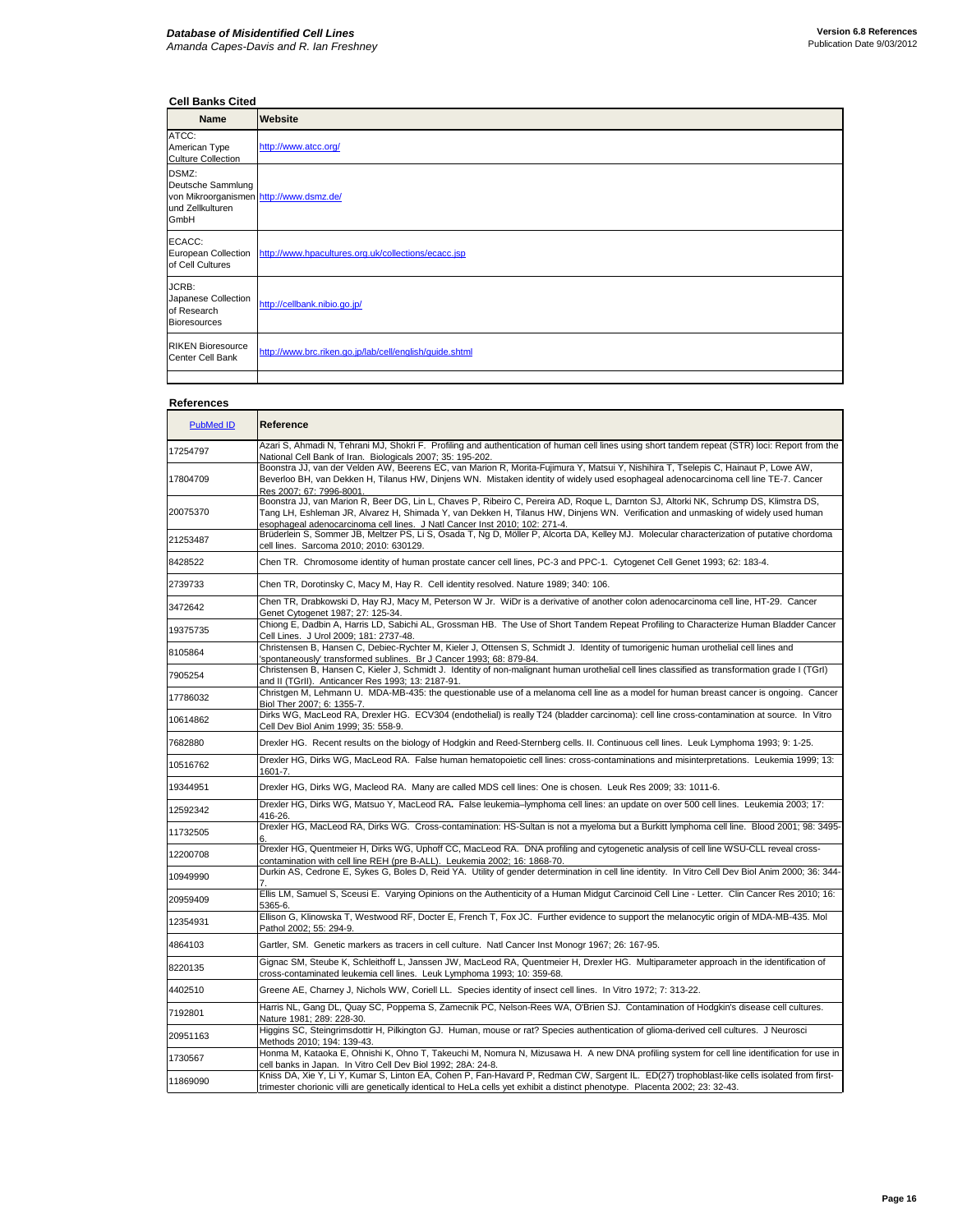## **Cell Banks Cited**

| <b>Name</b>                                                                                       | Website                                                 |
|---------------------------------------------------------------------------------------------------|---------------------------------------------------------|
| ATCC:<br>American Type<br><b>Culture Collection</b>                                               | http://www.atcc.org/                                    |
| DSMZ:<br>Deutsche Sammlung<br>von Mikroorganismen http://www.dsmz.de/<br>und Zellkulturen<br>GmbH |                                                         |
| ECACC:<br>European Collection<br>of Cell Cultures                                                 | http://www.hpacultures.org.uk/collections/ecacc.jsp     |
| JCRB:<br>Japanese Collection<br>of Research<br><b>Bioresources</b>                                | http://cellbank.nibio.go.jp/                            |
| <b>RIKEN Bioresource</b><br>Center Cell Bank                                                      | http://www.brc.riken.go.jp/lab/cell/english/guide.shtml |
|                                                                                                   |                                                         |

## **References**

| PubMed ID | Reference                                                                                                                                                                                                                                                                                                                                                |
|-----------|----------------------------------------------------------------------------------------------------------------------------------------------------------------------------------------------------------------------------------------------------------------------------------------------------------------------------------------------------------|
| 17254797  | Azari S, Ahmadi N, Tehrani MJ, Shokri F. Profiling and authentication of human cell lines using short tandem repeat (STR) loci: Report from the<br>National Cell Bank of Iran. Biologicals 2007; 35: 195-202.                                                                                                                                            |
| 17804709  | Boonstra JJ, van der Velden AW, Beerens EC, van Marion R, Morita-Fujimura Y, Matsui Y, Nishihira T, Tselepis C, Hainaut P, Lowe AW,<br>Beverloo BH, van Dekken H, Tilanus HW, Dinjens WN. Mistaken identity of widely used esophageal adenocarcinoma cell line TE-7. Cancer<br>Res 2007; 67: 7996-8001.                                                  |
| 20075370  | Boonstra JJ, van Marion R, Beer DG, Lin L, Chaves P, Ribeiro C, Pereira AD, Roque L, Darnton SJ, Altorki NK, Schrump DS, Klimstra DS,<br>Tang LH, Eshleman JR, Alvarez H, Shimada Y, van Dekken H, Tilanus HW, Dinjens WN. Verification and unmasking of widely used human<br>esophageal adenocarcinoma cell lines. J Natl Cancer Inst 2010; 102: 271-4. |
| 21253487  | Brüderlein S, Sommer JB, Meltzer PS, Li S, Osada T, Ng D, Möller P, Alcorta DA, Kelley MJ. Molecular characterization of putative chordoma<br>cell lines. Sarcoma 2010; 2010: 630129.                                                                                                                                                                    |
| 8428522   | Chen TR. Chromosome identity of human prostate cancer cell lines, PC-3 and PPC-1. Cytogenet Cell Genet 1993; 62: 183-4.                                                                                                                                                                                                                                  |
| 2739733   | Chen TR, Dorotinsky C, Macy M, Hay R. Cell identity resolved. Nature 1989; 340: 106.                                                                                                                                                                                                                                                                     |
| 3472642   | Chen TR, Drabkowski D, Hay RJ, Macy M, Peterson W Jr. WiDr is a derivative of another colon adenocarcinoma cell line, HT-29. Cancer<br>Genet Cytogenet 1987; 27: 125-34.                                                                                                                                                                                 |
| 19375735  | Chiong E, Dadbin A, Harris LD, Sabichi AL, Grossman HB. The Use of Short Tandem Repeat Profiling to Characterize Human Bladder Cancer<br>Cell Lines. J Urol 2009; 181: 2737-48.                                                                                                                                                                          |
| 8105864   | Christensen B, Hansen C, Debiec-Rychter M, Kieler J, Ottensen S, Schmidt J. Identity of tumorigenic human urothelial cell lines and<br>'spontaneously' transformed sublines. Br J Cancer 1993; 68: 879-84.                                                                                                                                               |
| 7905254   | Christensen B, Hansen C, Kieler J, Schmidt J. Identity of non-malignant human urothelial cell lines classified as transformation grade I (TGrI)<br>and II (TGrII). Anticancer Res 1993; 13: 2187-91.                                                                                                                                                     |
| 17786032  | Christgen M, Lehmann U. MDA-MB-435: the questionable use of a melanoma cell line as a model for human breast cancer is ongoing. Cancer<br>Biol Ther 2007; 6: 1355-7.                                                                                                                                                                                     |
| 10614862  | Dirks WG, MacLeod RA, Drexler HG. ECV304 (endothelial) is really T24 (bladder carcinoma): cell line cross-contamination at source. In Vitro<br>Cell Dev Biol Anim 1999; 35: 558-9.                                                                                                                                                                       |
| 7682880   | Drexler HG. Recent results on the biology of Hodgkin and Reed-Sternberg cells. II. Continuous cell lines. Leuk Lymphoma 1993; 9: 1-25.                                                                                                                                                                                                                   |
| 10516762  | Drexler HG, Dirks WG, MacLeod RA. False human hematopoietic cell lines: cross-contaminations and misinterpretations. Leukemia 1999; 13:<br>1601-7.                                                                                                                                                                                                       |
| 19344951  | Drexler HG, Dirks WG, Macleod RA. Many are called MDS cell lines: One is chosen. Leuk Res 2009; 33: 1011-6.                                                                                                                                                                                                                                              |
| 12592342  | Drexler HG, Dirks WG, Matsuo Y, MacLeod RA. False leukemia-lymphoma cell lines: an update on over 500 cell lines. Leukemia 2003; 17:<br>416-26.                                                                                                                                                                                                          |
| 11732505  | Drexler HG, MacLeod RA, Dirks WG. Cross-contamination: HS-Sultan is not a myeloma but a Burkitt lymphoma cell line. Blood 2001; 98: 3495-                                                                                                                                                                                                                |
| 12200708  | Drexler HG, Quentmeier H, Dirks WG, Uphoff CC, MacLeod RA. DNA profiling and cytogenetic analysis of cell line WSU-CLL reveal cross-<br>contamination with cell line REH (pre B-ALL). Leukemia 2002; 16: 1868-70.                                                                                                                                        |
| 10949990  | Durkin AS, Cedrone E, Sykes G, Boles D, Reid YA. Utility of gender determination in cell line identity. In Vitro Cell Dev Biol Anim 2000; 36: 344-                                                                                                                                                                                                       |
| 20959409  | Ellis LM, Samuel S, Sceusi E. Varying Opinions on the Authenticity of a Human Midgut Carcinoid Cell Line - Letter. Clin Cancer Res 2010; 16:<br>5365-6.                                                                                                                                                                                                  |
| 12354931  | Ellison G, Klinowska T, Westwood RF, Docter E, French T, Fox JC. Further evidence to support the melanocytic origin of MDA-MB-435. Mol<br>Pathol 2002; 55: 294-9.                                                                                                                                                                                        |
| 4864103   | Gartler, SM. Genetic markers as tracers in cell culture. Natl Cancer Inst Monogr 1967; 26: 167-95.                                                                                                                                                                                                                                                       |
| 8220135   | Gignac SM, Steube K, Schleithoff L, Janssen JW, MacLeod RA, Quentmeier H, Drexler HG. Multiparameter approach in the identification of<br>cross-contaminated leukemia cell lines. Leuk Lymphoma 1993; 10: 359-68.                                                                                                                                        |
| 4402510   | Greene AE, Charney J, Nichols WW, Coriell LL. Species identity of insect cell lines. In Vitro 1972; 7: 313-22.                                                                                                                                                                                                                                           |
| 7192801   | Harris NL, Gang DL, Quay SC, Poppema S, Zamecnik PC, Nelson-Rees WA, O'Brien SJ. Contamination of Hodgkin's disease cell cultures.<br>Nature 1981; 289: 228-30.                                                                                                                                                                                          |
| 20951163  | Higgins SC, Steingrimsdottir H, Pilkington GJ. Human, mouse or rat? Species authentication of glioma-derived cell cultures. J Neurosci<br>Methods 2010; 194: 139-43.                                                                                                                                                                                     |
| 1730567   | Honma M, Kataoka E, Ohnishi K, Ohno T, Takeuchi M, Nomura N, Mizusawa H. A new DNA profiling system for cell line identification for use in<br>cell banks in Japan. In Vitro Cell Dev Biol 1992; 28A: 24-8.                                                                                                                                              |
| 11869090  | Kniss DA, Xie Y, Li Y, Kumar S, Linton EA, Cohen P, Fan-Havard P, Redman CW, Sargent IL. ED(27) trophoblast-like cells isolated from first-<br>trimester chorionic villi are genetically identical to HeLa cells yet exhibit a distinct phenotype. Placenta 2002; 23: 32-43.                                                                             |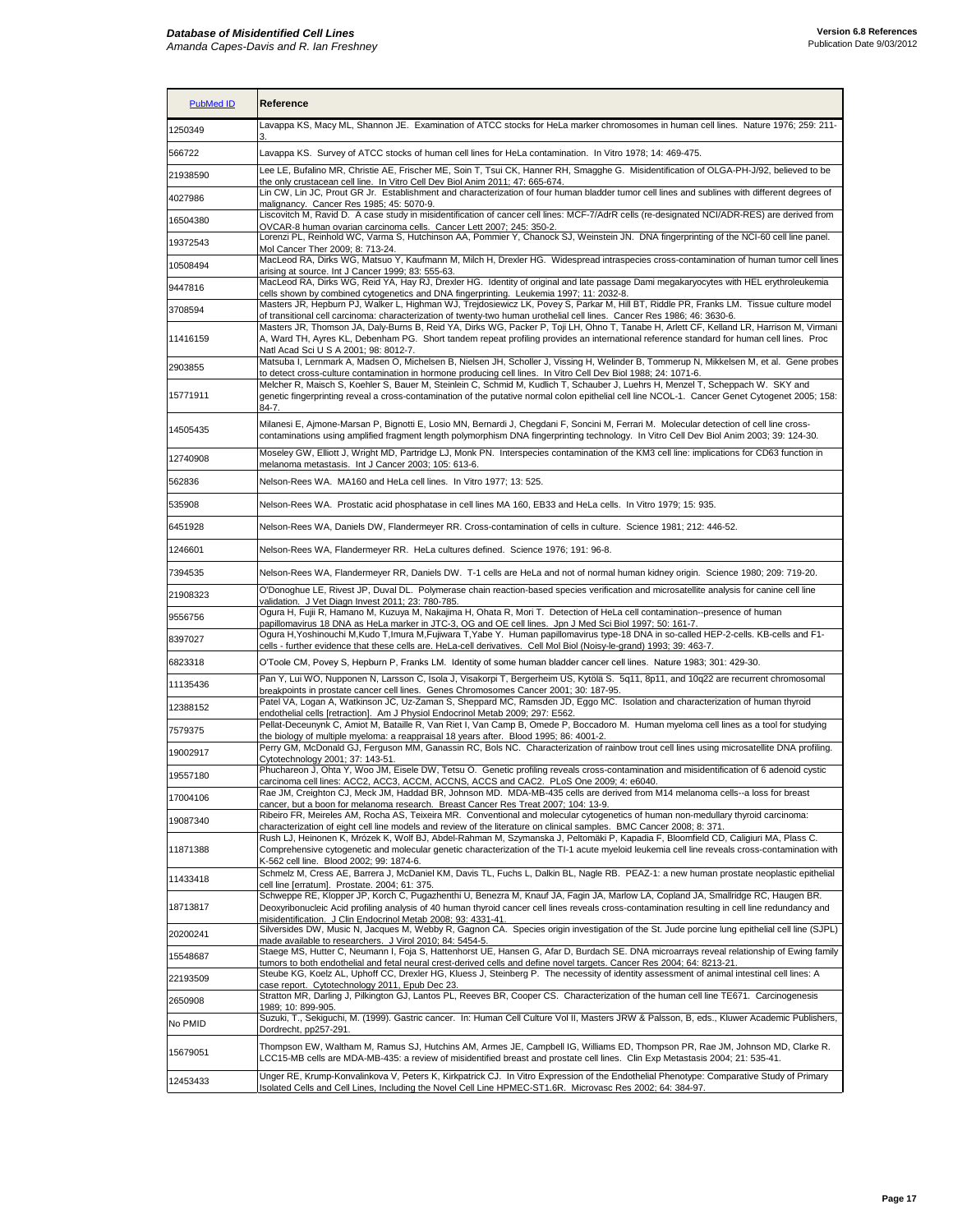| <b>PubMed ID</b> | Reference                                                                                                                                                                                                                                                                                                                                             |
|------------------|-------------------------------------------------------------------------------------------------------------------------------------------------------------------------------------------------------------------------------------------------------------------------------------------------------------------------------------------------------|
| 1250349          | Lavappa KS, Macy ML, Shannon JE. Examination of ATCC stocks for HeLa marker chromosomes in human cell lines. Nature 1976; 259: 211-                                                                                                                                                                                                                   |
| 566722           | Lavappa KS. Survey of ATCC stocks of human cell lines for HeLa contamination. In Vitro 1978; 14: 469-475.                                                                                                                                                                                                                                             |
| 21938590         | Lee LE, Bufalino MR, Christie AE, Frischer ME, Soin T, Tsui CK, Hanner RH, Smagghe G. Misidentification of OLGA-PH-J/92, believed to be                                                                                                                                                                                                               |
| 4027986          | the only crustacean cell line. In Vitro Cell Dev Biol Anim 2011: 47: 665-674.<br>Lin CW, Lin JC, Prout GR Jr. Establishment and characterization of four human bladder tumor cell lines and sublines with different degrees of                                                                                                                        |
| 16504380         | malignancy. Cancer Res 1985; 45: 5070-9.<br>Liscovitch M, Ravid D. A case study in misidentification of cancer cell lines: MCF-7/AdrR cells (re-designated NCI/ADR-RES) are derived from                                                                                                                                                              |
| 19372543         | OVCAR-8 human ovarian carcinoma cells. Cancer Lett 2007; 245: 350-2.<br>Lorenzi PL, Reinhold WC, Varma S, Hutchinson AA, Pommier Y, Chanock SJ, Weinstein JN. DNA fingerprinting of the NCI-60 cell line panel.                                                                                                                                       |
|                  | Mol Cancer Ther 2009; 8: 713-24.<br>MacLeod RA, Dirks WG, Matsuo Y, Kaufmann M, Milch H, Drexler HG. Widespread intraspecies cross-contamination of human tumor cell lines                                                                                                                                                                            |
| 10508494         | arising at source. Int J Cancer 1999; 83: 555-63.<br>MacLeod RA, Dirks WG, Reid YA, Hay RJ, Drexler HG. Identity of original and late passage Dami megakaryocytes with HEL erythroleukemia                                                                                                                                                            |
| 9447816          | cells shown by combined cytogenetics and DNA fingerprinting. Leukemia 1997; 11: 2032-8.<br>Masters JR, Hepburn PJ, Walker L, Highman WJ, Trejdosiewicz LK, Povey S, Parkar M, Hill BT, Riddle PR, Franks LM. Tissue culture model                                                                                                                     |
| 3708594          | of transitional cell carcinoma: characterization of twenty-two human urothelial cell lines. Cancer Res 1986; 46: 3630-6.<br>Masters JR, Thomson JA, Daly-Burns B, Reid YA, Dirks WG, Packer P, Toji LH, Ohno T, Tanabe H, Arlett CF, Kelland LR, Harrison M, Virmani                                                                                  |
| 11416159         | A, Ward TH, Ayres KL, Debenham PG. Short tandem repeat profiling provides an international reference standard for human cell lines. Proc<br>Natl Acad Sci U S A 2001; 98: 8012-7.                                                                                                                                                                     |
| 2903855          | Matsuba I, Lernmark A, Madsen O, Michelsen B, Nielsen JH, Scholler J, Vissing H, Welinder B, Tommerup N, Mikkelsen M, et al. Gene probes<br>to detect cross-culture contamination in hormone producing cell lines. In Vitro Cell Dev Biol 1988; 24: 1071-6.                                                                                           |
| 15771911         | Melcher R, Maisch S, Koehler S, Bauer M, Steinlein C, Schmid M, Kudlich T, Schauber J, Luehrs H, Menzel T, Scheppach W. SKY and<br>genetic fingerprinting reveal a cross-contamination of the putative normal colon epithelial cell line NCOL-1. Cancer Genet Cytogenet 2005; 158:<br>84-7.                                                           |
| 14505435         | Milanesi E, Ajmone-Marsan P, Bignotti E, Losio MN, Bernardi J, Chegdani F, Soncini M, Ferrari M. Molecular detection of cell line cross-<br>contaminations using amplified fragment length polymorphism DNA fingerprinting technology. In Vitro Cell Dev Biol Anim 2003; 39: 124-30.                                                                  |
| 12740908         | Moseley GW, Elliott J, Wright MD, Partridge LJ, Monk PN. Interspecies contamination of the KM3 cell line: implications for CD63 function in<br>melanoma metastasis. Int J Cancer 2003; 105: 613-6.                                                                                                                                                    |
| 562836           | Nelson-Rees WA. MA160 and HeLa cell lines. In Vitro 1977; 13: 525.                                                                                                                                                                                                                                                                                    |
| 535908           | Nelson-Rees WA. Prostatic acid phosphatase in cell lines MA 160, EB33 and HeLa cells. In Vitro 1979; 15: 935.                                                                                                                                                                                                                                         |
| 6451928          | Nelson-Rees WA, Daniels DW, Flandermeyer RR. Cross-contamination of cells in culture. Science 1981; 212: 446-52.                                                                                                                                                                                                                                      |
| 1246601          | Nelson-Rees WA, Flandermeyer RR. HeLa cultures defined. Science 1976; 191: 96-8.                                                                                                                                                                                                                                                                      |
| 7394535          | Nelson-Rees WA, Flandermeyer RR, Daniels DW. T-1 cells are HeLa and not of normal human kidney origin. Science 1980; 209: 719-20.                                                                                                                                                                                                                     |
| 21908323         | O'Donoghue LE, Rivest JP, Duval DL. Polymerase chain reaction-based species verification and microsatellite analysis for canine cell line<br>validation. J Vet Diagn Invest 2011; 23: 780-785.                                                                                                                                                        |
| 9556756          | Ogura H, Fujii R, Hamano M, Kuzuya M, Nakajima H, Ohata R, Mori T. Detection of HeLa cell contamination--presence of human<br>papillomavirus 18 DNA as HeLa marker in JTC-3, OG and OE cell lines. Jpn J Med Sci Biol 1997; 50: 161-7.                                                                                                                |
| 8397027          | Ogura H,Yoshinouchi M,Kudo T,Imura M,Fujiwara T,Yabe Y. Human papillomavirus type-18 DNA in so-called HEP-2-cells. KB-cells and F1-<br>cells - further evidence that these cells are. HeLa-cell derivatives. Cell Mol Biol (Noisy-le-grand) 1993; 39: 463-7.                                                                                          |
| 6823318          | O'Toole CM, Povey S, Hepburn P, Franks LM. Identity of some human bladder cancer cell lines. Nature 1983; 301: 429-30.                                                                                                                                                                                                                                |
| 11135436         | Pan Y, Lui WO, Nupponen N, Larsson C, Isola J, Visakorpi T, Bergerheim US, Kytölä S. 5q11, 8p11, and 10q22 are recurrent chromosomal<br>breakpoints in prostate cancer cell lines. Genes Chromosomes Cancer 2001; 30: 187-95.                                                                                                                         |
| 12388152         | Patel VA, Logan A, Watkinson JC, Uz-Zaman S, Sheppard MC, Ramsden JD, Eggo MC. Isolation and characterization of human thyroid                                                                                                                                                                                                                        |
| 7579375          | endothelial cells [retraction]. Am J Physiol Endocrinol Metab 2009; 297: E562.<br>Pellat-Deceunynk C, Amiot M, Bataille R, Van Riet I, Van Camp B, Omede P, Boccadoro M. Human myeloma cell lines as a tool for studying                                                                                                                              |
| 19002917         | the biology of multiple myeloma: a reappraisal 18 years after. Blood 1995; 86: 4001-2.<br>Perry GM, McDonald GJ, Ferguson MM, Ganassin RC, Bols NC. Characterization of rainbow trout cell lines using microsatellite DNA profiling.                                                                                                                  |
|                  | Cytotechnology 2001; 37: 143-51.<br>Phuchareon J, Ohta Y, Woo JM, Eisele DW, Tetsu O. Genetic profiling reveals cross-contamination and misidentification of 6 adenoid cystic                                                                                                                                                                         |
| 19557180         | carcinoma cell lines: ACC2, ACC3, ACCM, ACCNS, ACCS and CAC2. PLoS One 2009; 4: e6040.<br>Rae JM, Creighton CJ, Meck JM, Haddad BR, Johnson MD. MDA-MB-435 cells are derived from M14 melanoma cells--a loss for breast                                                                                                                               |
| 17004106         | cancer, but a boon for melanoma research. Breast Cancer Res Treat 2007: 104: 13-9.<br>Ribeiro FR, Meireles AM, Rocha AS, Teixeira MR. Conventional and molecular cytogenetics of human non-medullary thyroid carcinoma:                                                                                                                               |
| 19087340         | characterization of eight cell line models and review of the literature on clinical samples. BMC Cancer 2008; 8: 371.                                                                                                                                                                                                                                 |
| 11871388         | Rush LJ, Heinonen K, Mrózek K, Wolf BJ, Abdel-Rahman M, Szymanska J, Peltomäki P, Kapadia F, Bloomfield CD, Caligiuri MA, Plass C.<br>Comprehensive cytogenetic and molecular genetic characterization of the TI-1 acute myeloid leukemia cell line reveals cross-contamination with<br>K-562 cell line. Blood 2002; 99: 1874-6.                      |
| 11433418         | Schmelz M, Cress AE, Barrera J, McDaniel KM, Davis TL, Fuchs L, Dalkin BL, Nagle RB. PEAZ-1: a new human prostate neoplastic epithelial<br>cell line [erratum]. Prostate. 2004; 61: 375.                                                                                                                                                              |
| 18713817         | Schweppe RE, Klopper JP, Korch C, Pugazhenthi U, Benezra M, Knauf JA, Fagin JA, Marlow LA, Copland JA, Smallridge RC, Haugen BR.<br>Deoxyribonucleic Acid profiling analysis of 40 human thyroid cancer cell lines reveals cross-contamination resulting in cell line redundancy and<br>misidentification. J Clin Endocrinol Metab 2008; 93: 4331-41. |
| 20200241         | Silversides DW, Music N, Jacques M, Webby R, Gagnon CA. Species origin investigation of the St. Jude porcine lung epithelial cell line (SJPL)<br>made available to researchers. J Virol 2010; 84: 5454-5.                                                                                                                                             |
| 15548687         | Staege MS, Hutter C, Neumann I, Foja S, Hattenhorst UE, Hansen G, Afar D, Burdach SE. DNA microarrays reveal relationship of Ewing family<br>tumors to both endothelial and fetal neural crest-derived cells and define novel targets. Cancer Res 2004; 64: 8213-21.                                                                                  |
| 22193509         | Steube KG, Koelz AL, Uphoff CC, Drexler HG, Kluess J, Steinberg P. The necessity of identity assessment of animal intestinal cell lines: A<br>case report. Cytotechnology 2011, Epub Dec 23.                                                                                                                                                          |
| 2650908          | Stratton MR, Darling J, Pilkington GJ, Lantos PL, Reeves BR, Cooper CS. Characterization of the human cell line TE671. Carcinogenesis<br>1989; 10: 899-905.                                                                                                                                                                                           |
| No PMID          | Suzuki, T., Sekiguchi, M. (1999). Gastric cancer. In: Human Cell Culture Vol II, Masters JRW & Palsson, B, eds., Kluwer Academic Publishers,<br>Dordrecht, pp257-291.                                                                                                                                                                                 |
| 15679051         | Thompson EW, Waltham M, Ramus SJ, Hutchins AM, Armes JE, Campbell IG, Williams ED, Thompson PR, Rae JM, Johnson MD, Clarke R.<br>LCC15-MB cells are MDA-MB-435: a review of misidentified breast and prostate cell lines. Clin Exp Metastasis 2004; 21: 535-41.                                                                                       |
| 12453433         | Unger RE, Krump-Konvalinkova V, Peters K, Kirkpatrick CJ. In Vitro Expression of the Endothelial Phenotype: Comparative Study of Primary<br>Isolated Cells and Cell Lines, Including the Novel Cell Line HPMEC-ST1.6R. Microvasc Res 2002; 64: 384-97.                                                                                                |